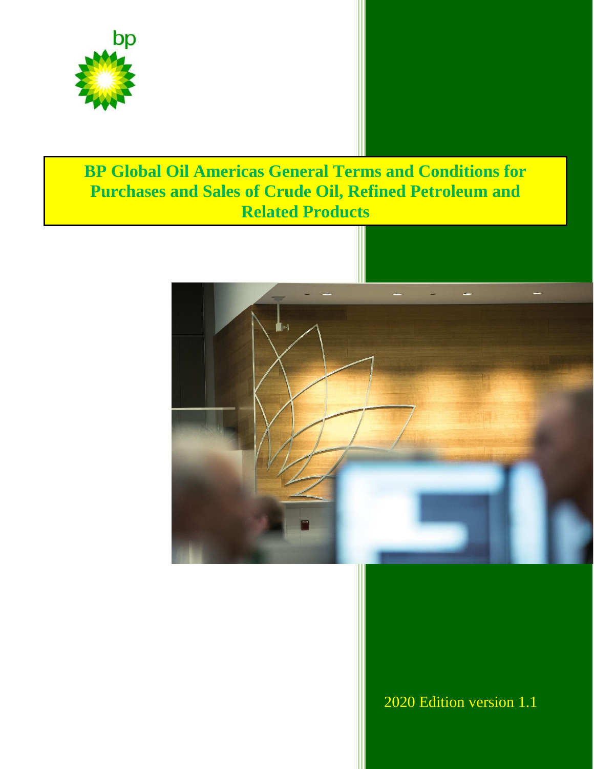

# **BP Global Oil Americas General Terms and Conditions for Purchases and Sales of Crude Oil, Refined Petroleum and Related Products**



2020 Edition version 1.1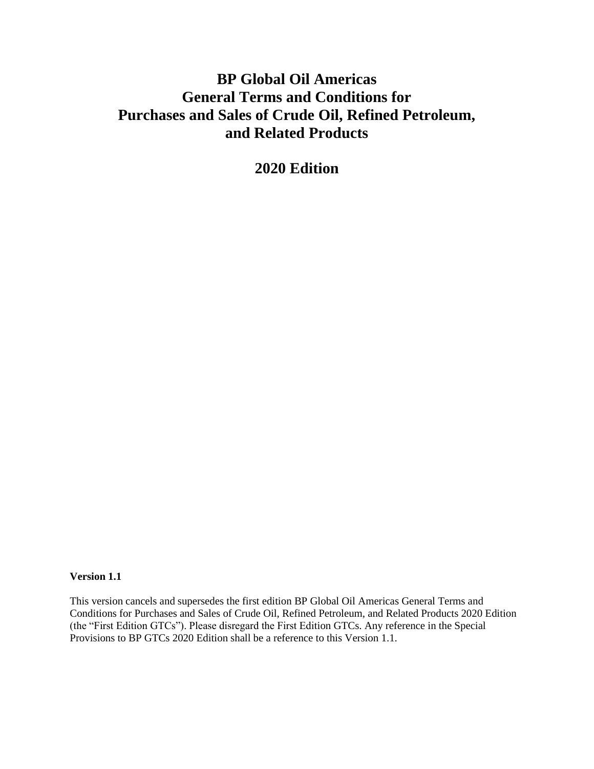## **BP Global Oil Americas General Terms and Conditions for Purchases and Sales of Crude Oil, Refined Petroleum, and Related Products**

**2020 Edition**

### **Version 1.1**

This version cancels and supersedes the first edition BP Global Oil Americas General Terms and Conditions for Purchases and Sales of Crude Oil, Refined Petroleum, and Related Products 2020 Edition (the "First Edition GTCs"). Please disregard the First Edition GTCs. Any reference in the Special Provisions to BP GTCs 2020 Edition shall be a reference to this Version 1.1.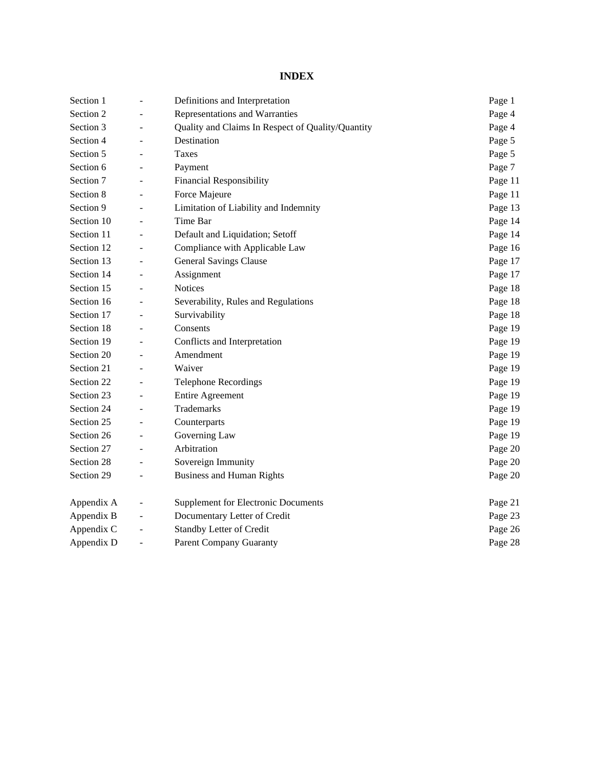## **INDEX**

| Section 1  | $\overline{\phantom{a}}$ | Definitions and Interpretation                    | Page 1  |
|------------|--------------------------|---------------------------------------------------|---------|
| Section 2  | $\blacksquare$           | Representations and Warranties                    | Page 4  |
| Section 3  | ÷.                       | Quality and Claims In Respect of Quality/Quantity | Page 4  |
| Section 4  | $\overline{\phantom{a}}$ | Destination                                       | Page 5  |
| Section 5  |                          | <b>Taxes</b>                                      | Page 5  |
| Section 6  |                          | Payment                                           | Page 7  |
| Section 7  | $\overline{\phantom{a}}$ | <b>Financial Responsibility</b>                   | Page 11 |
| Section 8  | $\sim$                   | Force Majeure                                     | Page 11 |
| Section 9  |                          | Limitation of Liability and Indemnity             | Page 13 |
| Section 10 |                          | Time Bar                                          | Page 14 |
| Section 11 |                          | Default and Liquidation; Setoff                   | Page 14 |
| Section 12 | $\overline{\phantom{a}}$ | Compliance with Applicable Law                    | Page 16 |
| Section 13 | $\overline{\phantom{a}}$ | <b>General Savings Clause</b>                     | Page 17 |
| Section 14 |                          | Assignment                                        | Page 17 |
| Section 15 | $\sim$                   | <b>Notices</b>                                    | Page 18 |
| Section 16 | $\overline{\phantom{a}}$ | Severability, Rules and Regulations               | Page 18 |
| Section 17 | $\overline{\phantom{a}}$ | Survivability                                     | Page 18 |
| Section 18 | $\overline{\phantom{a}}$ | Consents                                          | Page 19 |
| Section 19 | $\overline{\phantom{a}}$ | Conflicts and Interpretation                      | Page 19 |
| Section 20 |                          | Amendment                                         | Page 19 |
| Section 21 |                          | Waiver                                            | Page 19 |
| Section 22 |                          | <b>Telephone Recordings</b>                       | Page 19 |
| Section 23 | $\overline{\phantom{a}}$ | <b>Entire Agreement</b>                           | Page 19 |
| Section 24 | $\sim$                   | Trademarks                                        | Page 19 |
| Section 25 | $\sim$                   | Counterparts                                      | Page 19 |
| Section 26 | $\overline{\phantom{a}}$ | Governing Law                                     | Page 19 |
| Section 27 |                          | Arbitration                                       | Page 20 |
| Section 28 | $\overline{\phantom{a}}$ | Sovereign Immunity                                | Page 20 |
| Section 29 | $\overline{\phantom{a}}$ | <b>Business and Human Rights</b>                  | Page 20 |
| Appendix A |                          | <b>Supplement for Electronic Documents</b>        | Page 21 |
| Appendix B |                          | Documentary Letter of Credit                      | Page 23 |
| Appendix C | $\overline{\phantom{a}}$ | Standby Letter of Credit                          | Page 26 |
| Appendix D | $\sim$                   | <b>Parent Company Guaranty</b>                    | Page 28 |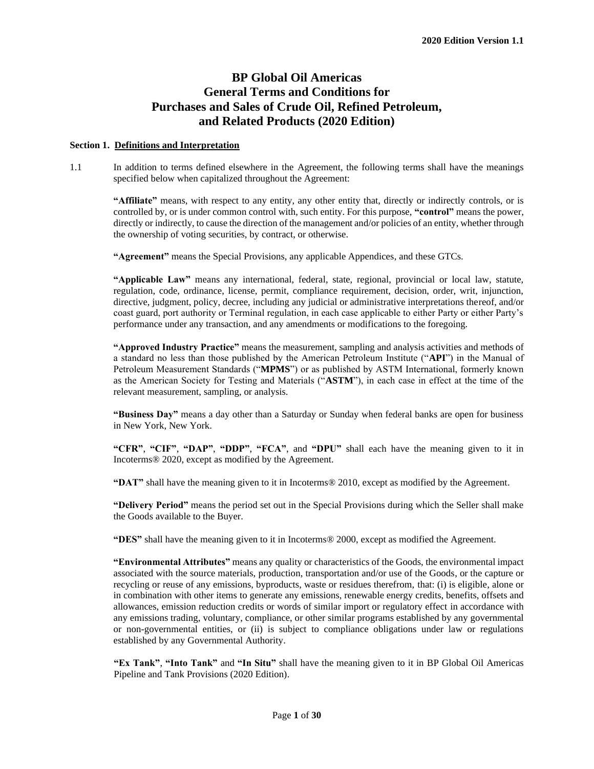## **BP Global Oil Americas General Terms and Conditions for Purchases and Sales of Crude Oil, Refined Petroleum, and Related Products (2020 Edition)**

#### **Section 1. Definitions and Interpretation**

1.1 In addition to terms defined elsewhere in the Agreement, the following terms shall have the meanings specified below when capitalized throughout the Agreement:

**"Affiliate"** means, with respect to any entity, any other entity that, directly or indirectly controls, or is controlled by, or is under common control with, such entity. For this purpose, **"control"** means the power, directly or indirectly, to cause the direction of the management and/or policies of an entity, whether through the ownership of voting securities, by contract, or otherwise.

**"Agreement"** means the Special Provisions, any applicable Appendices, and these GTCs.

**"Applicable Law"** means any international, federal, state, regional, provincial or local law, statute, regulation, code, ordinance, license, permit, compliance requirement, decision, order, writ, injunction, directive, judgment, policy, decree, including any judicial or administrative interpretations thereof, and/or coast guard, port authority or Terminal regulation, in each case applicable to either Party or either Party's performance under any transaction, and any amendments or modifications to the foregoing.

**"Approved Industry Practice"** means the measurement, sampling and analysis activities and methods of a standard no less than those published by the American Petroleum Institute ("**API**") in the Manual of Petroleum Measurement Standards ("**MPMS**") or as published by ASTM International, formerly known as the American Society for Testing and Materials ("**ASTM**"), in each case in effect at the time of the relevant measurement, sampling, or analysis.

**"Business Day"** means a day other than a Saturday or Sunday when federal banks are open for business in New York, New York.

**"CFR"**, **"CIF"**, **"DAP"**, **"DDP"**, **"FCA"**, and **"DPU"** shall each have the meaning given to it in Incoterms® 2020, except as modified by the Agreement.

**"DAT"** shall have the meaning given to it in Incoterms® 2010, except as modified by the Agreement.

**"Delivery Period"** means the period set out in the Special Provisions during which the Seller shall make the Goods available to the Buyer.

**"DES"** shall have the meaning given to it in Incoterms® 2000, except as modified the Agreement.

**"Environmental Attributes"** means any quality or characteristics of the Goods, the environmental impact associated with the source materials, production, transportation and/or use of the Goods, or the capture or recycling or reuse of any emissions, byproducts, waste or residues therefrom, that: (i) is eligible, alone or in combination with other items to generate any emissions, renewable energy credits, benefits, offsets and allowances, emission reduction credits or words of similar import or regulatory effect in accordance with any emissions trading, voluntary, compliance, or other similar programs established by any governmental or non-governmental entities, or (ii) is subject to compliance obligations under law or regulations established by any Governmental Authority.

**"Ex Tank"**, **"Into Tank"** and **"In Situ"** shall have the meaning given to it in BP Global Oil Americas Pipeline and Tank Provisions (2020 Edition).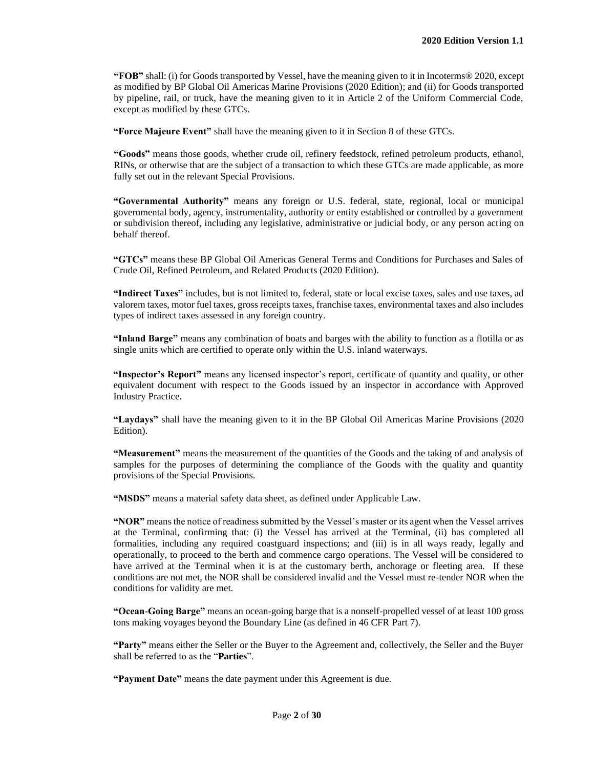**"FOB"** shall: (i) for Goods transported by Vessel, have the meaning given to it in Incoterms® 2020, except as modified by BP Global Oil Americas Marine Provisions (2020 Edition); and (ii) for Goods transported by pipeline, rail, or truck, have the meaning given to it in Article 2 of the Uniform Commercial Code, except as modified by these GTCs.

**"Force Majeure Event"** shall have the meaning given to it in Section 8 of these GTCs.

**"Goods"** means those goods, whether crude oil, refinery feedstock, refined petroleum products, ethanol, RINs, or otherwise that are the subject of a transaction to which these GTCs are made applicable, as more fully set out in the relevant Special Provisions.

**"Governmental Authority"** means any foreign or U.S. federal, state, regional, local or municipal governmental body, agency, instrumentality, authority or entity established or controlled by a government or subdivision thereof, including any legislative, administrative or judicial body, or any person acting on behalf thereof.

**"GTCs"** means these BP Global Oil Americas General Terms and Conditions for Purchases and Sales of Crude Oil, Refined Petroleum, and Related Products (2020 Edition).

**"Indirect Taxes"** includes, but is not limited to, federal, state or local excise taxes, sales and use taxes, ad valorem taxes, motor fuel taxes, gross receipts taxes, franchise taxes, environmental taxes and also includes types of indirect taxes assessed in any foreign country.

**"Inland Barge"** means any combination of boats and barges with the ability to function as a flotilla or as single units which are certified to operate only within the U.S. inland waterways.

**"Inspector's Report"** means any licensed inspector's report, certificate of quantity and quality, or other equivalent document with respect to the Goods issued by an inspector in accordance with Approved Industry Practice.

**"Laydays"** shall have the meaning given to it in the BP Global Oil Americas Marine Provisions (2020 Edition).

**"Measurement"** means the measurement of the quantities of the Goods and the taking of and analysis of samples for the purposes of determining the compliance of the Goods with the quality and quantity provisions of the Special Provisions.

**"MSDS"** means a material safety data sheet, as defined under Applicable Law.

**"NOR"** meansthe notice of readiness submitted by the Vessel's master or its agent when the Vessel arrives at the Terminal, confirming that: (i) the Vessel has arrived at the Terminal, (ii) has completed all formalities, including any required coastguard inspections; and (iii) is in all ways ready, legally and operationally, to proceed to the berth and commence cargo operations. The Vessel will be considered to have arrived at the Terminal when it is at the customary berth, anchorage or fleeting area. If these conditions are not met, the NOR shall be considered invalid and the Vessel must re-tender NOR when the conditions for validity are met.

**"Ocean-Going Barge"** means an ocean-going barge that is a nonself-propelled vessel of at least 100 gross tons making voyages beyond the Boundary Line (as defined in 46 CFR Part 7).

**"Party"** means either the Seller or the Buyer to the Agreement and, collectively, the Seller and the Buyer shall be referred to as the "**Parties**".

**"Payment Date"** means the date payment under this Agreement is due.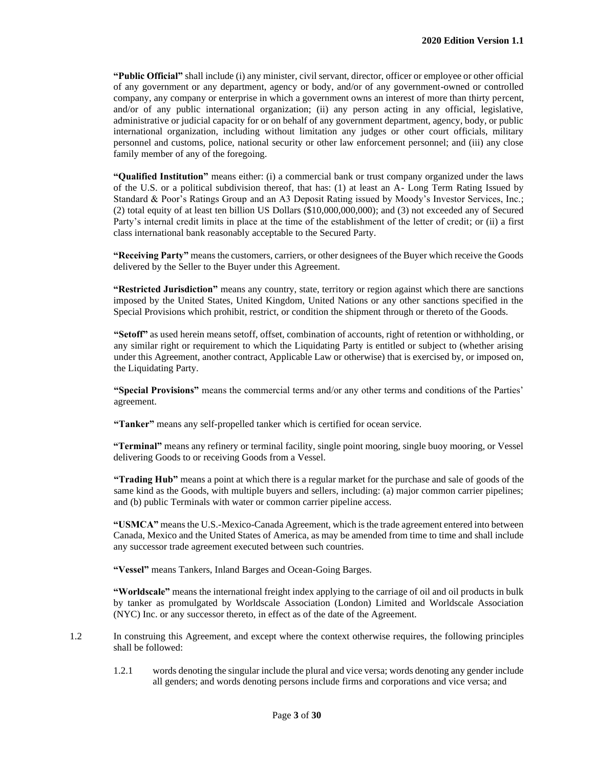**"Public Official"** shall include (i) any minister, civil servant, director, officer or employee or other official of any government or any department, agency or body, and/or of any government-owned or controlled company, any company or enterprise in which a government owns an interest of more than thirty percent, and/or of any public international organization; (ii) any person acting in any official, legislative, administrative or judicial capacity for or on behalf of any government department, agency, body, or public international organization, including without limitation any judges or other court officials, military personnel and customs, police, national security or other law enforcement personnel; and (iii) any close family member of any of the foregoing.

**"Qualified Institution"** means either: (i) a commercial bank or trust company organized under the laws of the U.S. or a political subdivision thereof, that has: (1) at least an A- Long Term Rating Issued by Standard & Poor's Ratings Group and an A3 Deposit Rating issued by Moody's Investor Services, Inc.; (2) total equity of at least ten billion US Dollars (\$10,000,000,000); and (3) not exceeded any of Secured Party's internal credit limits in place at the time of the establishment of the letter of credit; or (ii) a first class international bank reasonably acceptable to the Secured Party.

**"Receiving Party"** means the customers, carriers, or other designees of the Buyer which receive the Goods delivered by the Seller to the Buyer under this Agreement.

**"Restricted Jurisdiction"** means any country, state, territory or region against which there are sanctions imposed by the United States, United Kingdom, United Nations or any other sanctions specified in the Special Provisions which prohibit, restrict, or condition the shipment through or thereto of the Goods.

**"Setoff"** as used herein means setoff, offset, combination of accounts, right of retention or withholding, or any similar right or requirement to which the Liquidating Party is entitled or subject to (whether arising under this Agreement, another contract, Applicable Law or otherwise) that is exercised by, or imposed on, the Liquidating Party.

**"Special Provisions"** means the commercial terms and/or any other terms and conditions of the Parties' agreement.

**"Tanker"** means any self-propelled tanker which is certified for ocean service.

**"Terminal"** means any refinery or terminal facility, single point mooring, single buoy mooring, or Vessel delivering Goods to or receiving Goods from a Vessel.

**"Trading Hub"** means a point at which there is a regular market for the purchase and sale of goods of the same kind as the Goods, with multiple buyers and sellers, including: (a) major common carrier pipelines; and (b) public Terminals with water or common carrier pipeline access.

**"USMCA"** means the U.S.-Mexico-Canada Agreement, which is the trade agreement entered into between Canada, Mexico and the United States of America, as may be amended from time to time and shall include any successor trade agreement executed between such countries.

**"Vessel"** means Tankers, Inland Barges and Ocean-Going Barges.

**"Worldscale"** means the international freight index applying to the carriage of oil and oil products in bulk by tanker as promulgated by Worldscale Association (London) Limited and Worldscale Association (NYC) Inc. or any successor thereto, in effect as of the date of the Agreement.

1.2 In construing this Agreement, and except where the context otherwise requires, the following principles shall be followed:

1.2.1 words denoting the singular include the plural and vice versa; words denoting any gender include all genders; and words denoting persons include firms and corporations and vice versa; and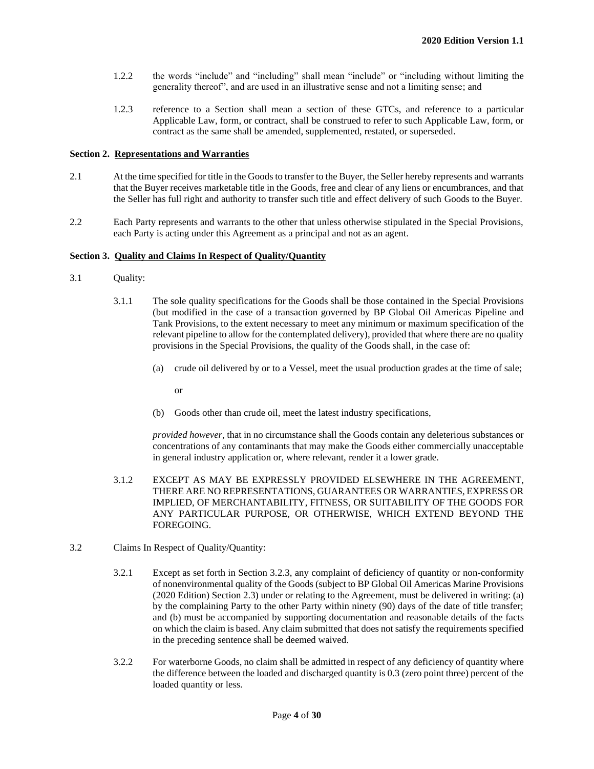- 1.2.2 the words "include" and "including" shall mean "include" or "including without limiting the generality thereof", and are used in an illustrative sense and not a limiting sense; and
- 1.2.3 reference to a Section shall mean a section of these GTCs, and reference to a particular Applicable Law, form, or contract, shall be construed to refer to such Applicable Law, form, or contract as the same shall be amended, supplemented, restated, or superseded.

#### **Section 2. Representations and Warranties**

- 2.1 At the time specified for title in the Goods to transfer to the Buyer, the Seller hereby represents and warrants that the Buyer receives marketable title in the Goods, free and clear of any liens or encumbrances, and that the Seller has full right and authority to transfer such title and effect delivery of such Goods to the Buyer.
- 2.2 Each Party represents and warrants to the other that unless otherwise stipulated in the Special Provisions, each Party is acting under this Agreement as a principal and not as an agent.

#### **Section 3. Quality and Claims In Respect of Quality/Quantity**

- 3.1 Quality:
	- 3.1.1 The sole quality specifications for the Goods shall be those contained in the Special Provisions (but modified in the case of a transaction governed by BP Global Oil Americas Pipeline and Tank Provisions, to the extent necessary to meet any minimum or maximum specification of the relevant pipeline to allow for the contemplated delivery), provided that where there are no quality provisions in the Special Provisions, the quality of the Goods shall, in the case of:
		- (a) crude oil delivered by or to a Vessel, meet the usual production grades at the time of sale;
			- or
		- (b) Goods other than crude oil, meet the latest industry specifications,

*provided however,* that in no circumstance shall the Goods contain any deleterious substances or concentrations of any contaminants that may make the Goods either commercially unacceptable in general industry application or, where relevant, render it a lower grade.

- 3.1.2 EXCEPT AS MAY BE EXPRESSLY PROVIDED ELSEWHERE IN THE AGREEMENT, THERE ARE NO REPRESENTATIONS, GUARANTEES OR WARRANTIES, EXPRESS OR IMPLIED, OF MERCHANTABILITY, FITNESS, OR SUITABILITY OF THE GOODS FOR ANY PARTICULAR PURPOSE, OR OTHERWISE, WHICH EXTEND BEYOND THE FOREGOING.
- 3.2 Claims In Respect of Quality/Quantity:
	- 3.2.1 Except as set forth in Section 3.2.3, any complaint of deficiency of quantity or non-conformity of nonenvironmental quality of the Goods (subject to BP Global Oil Americas Marine Provisions (2020 Edition) Section 2.3) under or relating to the Agreement, must be delivered in writing: (a) by the complaining Party to the other Party within ninety (90) days of the date of title transfer; and (b) must be accompanied by supporting documentation and reasonable details of the facts on which the claim is based. Any claim submitted that does not satisfy the requirements specified in the preceding sentence shall be deemed waived.
	- 3.2.2 For waterborne Goods, no claim shall be admitted in respect of any deficiency of quantity where the difference between the loaded and discharged quantity is 0.3 (zero point three) percent of the loaded quantity or less.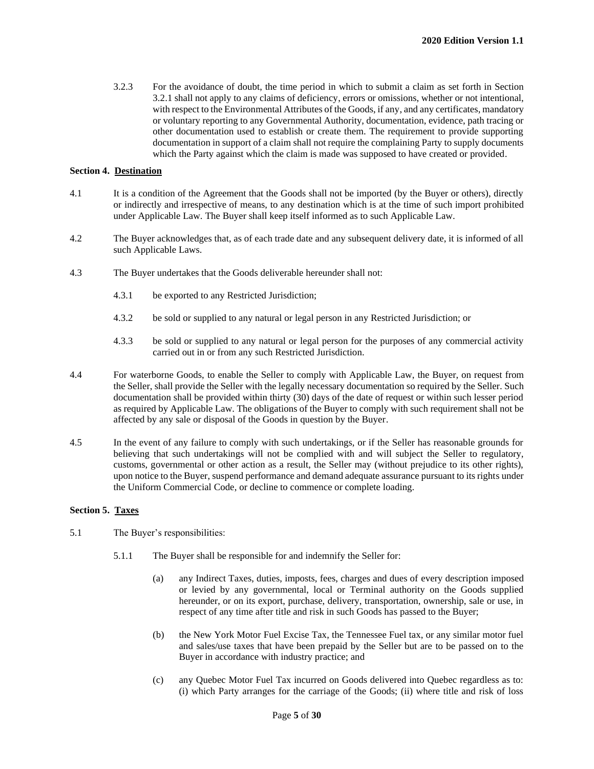3.2.3 For the avoidance of doubt, the time period in which to submit a claim as set forth in Section 3.2.1 shall not apply to any claims of deficiency, errors or omissions, whether or not intentional, with respect to the Environmental Attributes of the Goods, if any, and any certificates, mandatory or voluntary reporting to any Governmental Authority, documentation, evidence, path tracing or other documentation used to establish or create them. The requirement to provide supporting documentation in support of a claim shall not require the complaining Party to supply documents which the Party against which the claim is made was supposed to have created or provided.

#### **Section 4. Destination**

- 4.1 It is a condition of the Agreement that the Goods shall not be imported (by the Buyer or others), directly or indirectly and irrespective of means, to any destination which is at the time of such import prohibited under Applicable Law. The Buyer shall keep itself informed as to such Applicable Law.
- 4.2 The Buyer acknowledges that, as of each trade date and any subsequent delivery date, it is informed of all such Applicable Laws.
- 4.3 The Buyer undertakes that the Goods deliverable hereunder shall not:
	- 4.3.1 be exported to any Restricted Jurisdiction;
	- 4.3.2 be sold or supplied to any natural or legal person in any Restricted Jurisdiction; or
	- 4.3.3 be sold or supplied to any natural or legal person for the purposes of any commercial activity carried out in or from any such Restricted Jurisdiction.
- 4.4 For waterborne Goods, to enable the Seller to comply with Applicable Law, the Buyer, on request from the Seller, shall provide the Seller with the legally necessary documentation so required by the Seller. Such documentation shall be provided within thirty (30) days of the date of request or within such lesser period as required by Applicable Law. The obligations of the Buyer to comply with such requirement shall not be affected by any sale or disposal of the Goods in question by the Buyer.
- 4.5 In the event of any failure to comply with such undertakings, or if the Seller has reasonable grounds for believing that such undertakings will not be complied with and will subject the Seller to regulatory, customs, governmental or other action as a result, the Seller may (without prejudice to its other rights), upon notice to the Buyer, suspend performance and demand adequate assurance pursuant to its rights under the Uniform Commercial Code, or decline to commence or complete loading.

#### **Section 5. Taxes**

- 5.1 The Buyer's responsibilities:
	- 5.1.1 The Buyer shall be responsible for and indemnify the Seller for:
		- (a) any Indirect Taxes, duties, imposts, fees, charges and dues of every description imposed or levied by any governmental, local or Terminal authority on the Goods supplied hereunder, or on its export, purchase, delivery, transportation, ownership, sale or use, in respect of any time after title and risk in such Goods has passed to the Buyer;
		- (b) the New York Motor Fuel Excise Tax, the Tennessee Fuel tax, or any similar motor fuel and sales/use taxes that have been prepaid by the Seller but are to be passed on to the Buyer in accordance with industry practice; and
		- (c) any Quebec Motor Fuel Tax incurred on Goods delivered into Quebec regardless as to: (i) which Party arranges for the carriage of the Goods; (ii) where title and risk of loss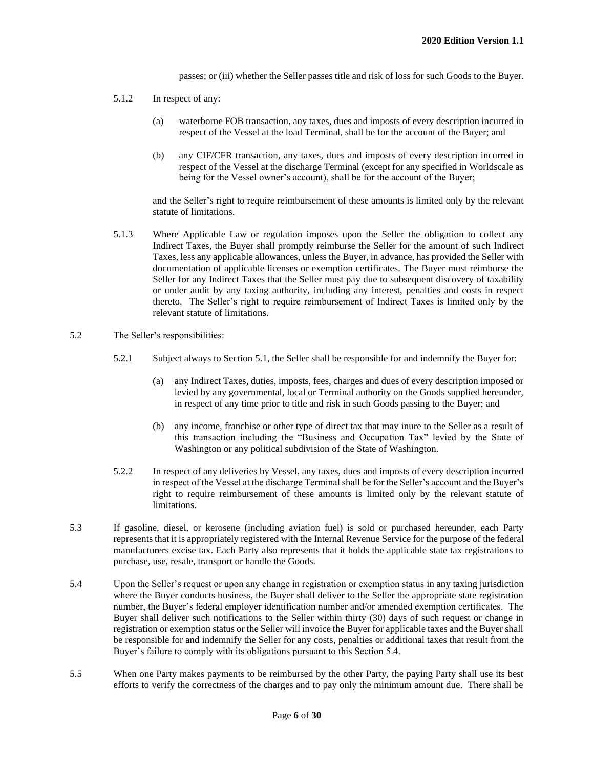passes; or (iii) whether the Seller passes title and risk of loss for such Goods to the Buyer.

- 5.1.2 In respect of any:
	- (a) waterborne FOB transaction, any taxes, dues and imposts of every description incurred in respect of the Vessel at the load Terminal, shall be for the account of the Buyer; and
	- (b) any CIF/CFR transaction, any taxes, dues and imposts of every description incurred in respect of the Vessel at the discharge Terminal (except for any specified in Worldscale as being for the Vessel owner's account), shall be for the account of the Buyer;

and the Seller's right to require reimbursement of these amounts is limited only by the relevant statute of limitations.

- 5.1.3 Where Applicable Law or regulation imposes upon the Seller the obligation to collect any Indirect Taxes, the Buyer shall promptly reimburse the Seller for the amount of such Indirect Taxes, less any applicable allowances, unless the Buyer, in advance, has provided the Seller with documentation of applicable licenses or exemption certificates. The Buyer must reimburse the Seller for any Indirect Taxes that the Seller must pay due to subsequent discovery of taxability or under audit by any taxing authority, including any interest, penalties and costs in respect thereto. The Seller's right to require reimbursement of Indirect Taxes is limited only by the relevant statute of limitations.
- 5.2 The Seller's responsibilities:
	- 5.2.1 Subject always to Section 5.1, the Seller shall be responsible for and indemnify the Buyer for:
		- (a) any Indirect Taxes, duties, imposts, fees, charges and dues of every description imposed or levied by any governmental, local or Terminal authority on the Goods supplied hereunder, in respect of any time prior to title and risk in such Goods passing to the Buyer; and
		- (b) any income, franchise or other type of direct tax that may inure to the Seller as a result of this transaction including the "Business and Occupation Tax" levied by the State of Washington or any political subdivision of the State of Washington.
	- 5.2.2 In respect of any deliveries by Vessel, any taxes, dues and imposts of every description incurred in respect of the Vessel at the discharge Terminal shall be for the Seller's account and the Buyer's right to require reimbursement of these amounts is limited only by the relevant statute of limitations.
- 5.3 If gasoline, diesel, or kerosene (including aviation fuel) is sold or purchased hereunder, each Party represents that it is appropriately registered with the Internal Revenue Service for the purpose of the federal manufacturers excise tax. Each Party also represents that it holds the applicable state tax registrations to purchase, use, resale, transport or handle the Goods.
- 5.4 Upon the Seller's request or upon any change in registration or exemption status in any taxing jurisdiction where the Buyer conducts business, the Buyer shall deliver to the Seller the appropriate state registration number, the Buyer's federal employer identification number and/or amended exemption certificates. The Buyer shall deliver such notifications to the Seller within thirty (30) days of such request or change in registration or exemption status or the Seller will invoice the Buyer for applicable taxes and the Buyer shall be responsible for and indemnify the Seller for any costs, penalties or additional taxes that result from the Buyer's failure to comply with its obligations pursuant to this Section 5.4.
- 5.5 When one Party makes payments to be reimbursed by the other Party, the paying Party shall use its best efforts to verify the correctness of the charges and to pay only the minimum amount due. There shall be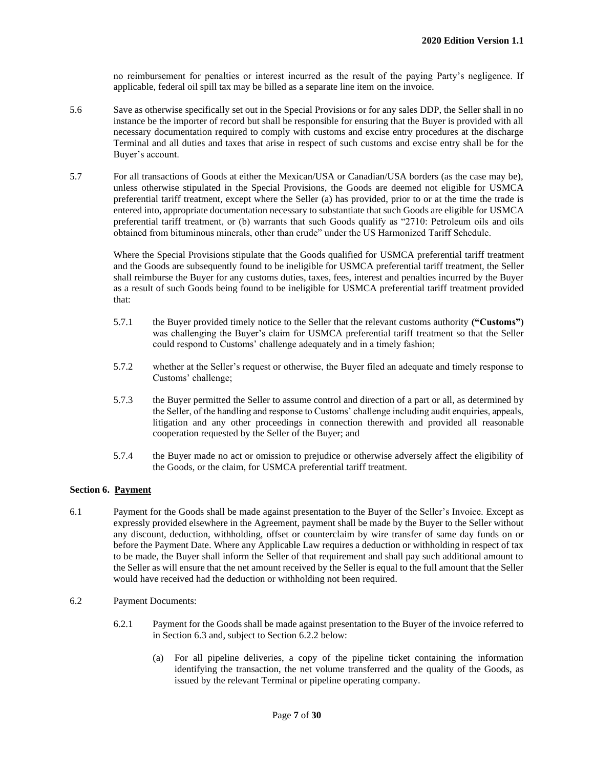no reimbursement for penalties or interest incurred as the result of the paying Party's negligence. If applicable, federal oil spill tax may be billed as a separate line item on the invoice.

- 5.6 Save as otherwise specifically set out in the Special Provisions or for any sales DDP, the Seller shall in no instance be the importer of record but shall be responsible for ensuring that the Buyer is provided with all necessary documentation required to comply with customs and excise entry procedures at the discharge Terminal and all duties and taxes that arise in respect of such customs and excise entry shall be for the Buyer's account.
- 5.7 For all transactions of Goods at either the Mexican/USA or Canadian/USA borders (as the case may be), unless otherwise stipulated in the Special Provisions, the Goods are deemed not eligible for USMCA preferential tariff treatment, except where the Seller (a) has provided, prior to or at the time the trade is entered into, appropriate documentation necessary to substantiate that such Goods are eligible for USMCA preferential tariff treatment, or (b) warrants that such Goods qualify as "2710: Petroleum oils and oils obtained from bituminous minerals, other than crude" under the US Harmonized Tariff Schedule.

Where the Special Provisions stipulate that the Goods qualified for USMCA preferential tariff treatment and the Goods are subsequently found to be ineligible for USMCA preferential tariff treatment, the Seller shall reimburse the Buyer for any customs duties, taxes, fees, interest and penalties incurred by the Buyer as a result of such Goods being found to be ineligible for USMCA preferential tariff treatment provided that:

- 5.7.1 the Buyer provided timely notice to the Seller that the relevant customs authority **("Customs")** was challenging the Buyer's claim for USMCA preferential tariff treatment so that the Seller could respond to Customs' challenge adequately and in a timely fashion;
- 5.7.2 whether at the Seller's request or otherwise, the Buyer filed an adequate and timely response to Customs' challenge;
- 5.7.3 the Buyer permitted the Seller to assume control and direction of a part or all, as determined by the Seller, of the handling and response to Customs' challenge including audit enquiries, appeals, litigation and any other proceedings in connection therewith and provided all reasonable cooperation requested by the Seller of the Buyer; and
- 5.7.4 the Buyer made no act or omission to prejudice or otherwise adversely affect the eligibility of the Goods, or the claim, for USMCA preferential tariff treatment.

#### **Section 6. Payment**

- 6.1 Payment for the Goods shall be made against presentation to the Buyer of the Seller's Invoice. Except as expressly provided elsewhere in the Agreement, payment shall be made by the Buyer to the Seller without any discount, deduction, withholding, offset or counterclaim by wire transfer of same day funds on or before the Payment Date. Where any Applicable Law requires a deduction or withholding in respect of tax to be made, the Buyer shall inform the Seller of that requirement and shall pay such additional amount to the Seller as will ensure that the net amount received by the Seller is equal to the full amount that the Seller would have received had the deduction or withholding not been required.
- 6.2 Payment Documents:
	- 6.2.1 Payment for the Goods shall be made against presentation to the Buyer of the invoice referred to in Section 6.3 and, subject to Section 6.2.2 below:
		- (a) For all pipeline deliveries, a copy of the pipeline ticket containing the information identifying the transaction, the net volume transferred and the quality of the Goods, as issued by the relevant Terminal or pipeline operating company.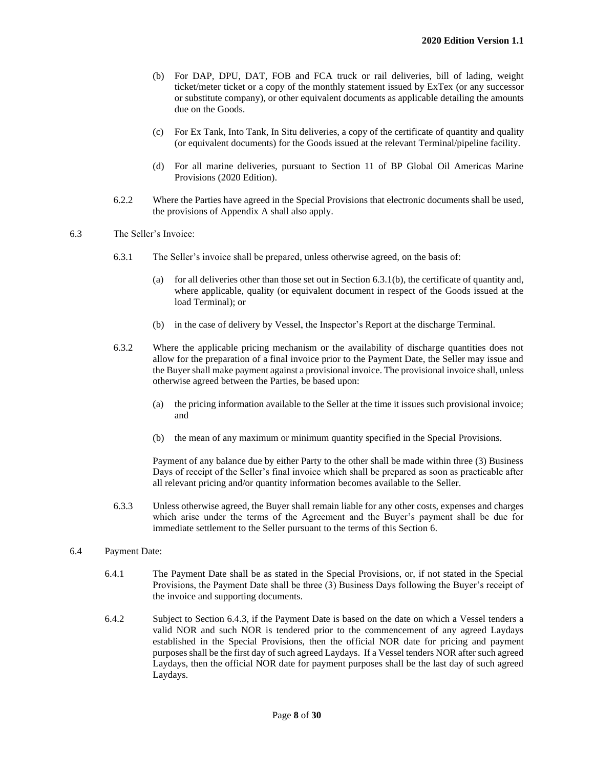- (b) For DAP, DPU, DAT, FOB and FCA truck or rail deliveries, bill of lading, weight ticket/meter ticket or a copy of the monthly statement issued by ExTex (or any successor or substitute company), or other equivalent documents as applicable detailing the amounts due on the Goods.
- (c) For Ex Tank, Into Tank, In Situ deliveries, a copy of the certificate of quantity and quality (or equivalent documents) for the Goods issued at the relevant Terminal/pipeline facility.
- (d) For all marine deliveries, pursuant to Section 11 of BP Global Oil Americas Marine Provisions (2020 Edition).
- 6.2.2 Where the Parties have agreed in the Special Provisions that electronic documents shall be used, the provisions of Appendix A shall also apply.
- 6.3 The Seller's Invoice:
	- 6.3.1 The Seller's invoice shall be prepared, unless otherwise agreed, on the basis of:
		- (a) for all deliveries other than those set out in Section 6.3.1(b), the certificate of quantity and, where applicable, quality (or equivalent document in respect of the Goods issued at the load Terminal); or
		- (b) in the case of delivery by Vessel, the Inspector's Report at the discharge Terminal.
	- 6.3.2 Where the applicable pricing mechanism or the availability of discharge quantities does not allow for the preparation of a final invoice prior to the Payment Date, the Seller may issue and the Buyer shall make payment against a provisional invoice. The provisional invoice shall, unless otherwise agreed between the Parties, be based upon:
		- (a) the pricing information available to the Seller at the time it issues such provisional invoice; and
		- (b) the mean of any maximum or minimum quantity specified in the Special Provisions.

Payment of any balance due by either Party to the other shall be made within three (3) Business Days of receipt of the Seller's final invoice which shall be prepared as soon as practicable after all relevant pricing and/or quantity information becomes available to the Seller.

- 6.3.3 Unless otherwise agreed, the Buyer shall remain liable for any other costs, expenses and charges which arise under the terms of the Agreement and the Buyer's payment shall be due for immediate settlement to the Seller pursuant to the terms of this Section 6.
- 6.4 Payment Date:
	- 6.4.1 The Payment Date shall be as stated in the Special Provisions, or, if not stated in the Special Provisions, the Payment Date shall be three (3) Business Days following the Buyer's receipt of the invoice and supporting documents.
	- 6.4.2 Subject to Section 6.4.3, if the Payment Date is based on the date on which a Vessel tenders a valid NOR and such NOR is tendered prior to the commencement of any agreed Laydays established in the Special Provisions, then the official NOR date for pricing and payment purposes shall be the first day of such agreed Laydays. If a Vessel tenders NOR after such agreed Laydays, then the official NOR date for payment purposes shall be the last day of such agreed Laydays.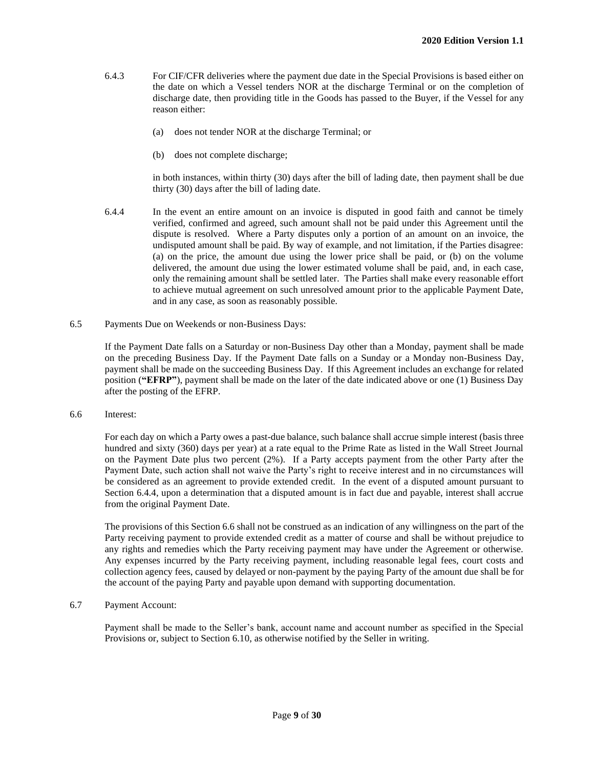- 6.4.3 For CIF/CFR deliveries where the payment due date in the Special Provisions is based either on the date on which a Vessel tenders NOR at the discharge Terminal or on the completion of discharge date, then providing title in the Goods has passed to the Buyer, if the Vessel for any reason either:
	- (a) does not tender NOR at the discharge Terminal; or
	- (b) does not complete discharge;

in both instances, within thirty (30) days after the bill of lading date, then payment shall be due thirty (30) days after the bill of lading date.

- 6.4.4 In the event an entire amount on an invoice is disputed in good faith and cannot be timely verified, confirmed and agreed, such amount shall not be paid under this Agreement until the dispute is resolved. Where a Party disputes only a portion of an amount on an invoice, the undisputed amount shall be paid. By way of example, and not limitation, if the Parties disagree: (a) on the price, the amount due using the lower price shall be paid, or (b) on the volume delivered, the amount due using the lower estimated volume shall be paid, and, in each case, only the remaining amount shall be settled later. The Parties shall make every reasonable effort to achieve mutual agreement on such unresolved amount prior to the applicable Payment Date, and in any case, as soon as reasonably possible.
- 6.5 Payments Due on Weekends or non-Business Days:

If the Payment Date falls on a Saturday or non-Business Day other than a Monday, payment shall be made on the preceding Business Day. If the Payment Date falls on a Sunday or a Monday non-Business Day, payment shall be made on the succeeding Business Day. If this Agreement includes an exchange for related position (**"EFRP"**), payment shall be made on the later of the date indicated above or one (1) Business Day after the posting of the EFRP.

6.6 Interest:

For each day on which a Party owes a past-due balance, such balance shall accrue simple interest (basis three hundred and sixty (360) days per year) at a rate equal to the Prime Rate as listed in the Wall Street Journal on the Payment Date plus two percent (2%). If a Party accepts payment from the other Party after the Payment Date, such action shall not waive the Party's right to receive interest and in no circumstances will be considered as an agreement to provide extended credit. In the event of a disputed amount pursuant to Section 6.4.4, upon a determination that a disputed amount is in fact due and payable, interest shall accrue from the original Payment Date.

The provisions of this Section 6.6 shall not be construed as an indication of any willingness on the part of the Party receiving payment to provide extended credit as a matter of course and shall be without prejudice to any rights and remedies which the Party receiving payment may have under the Agreement or otherwise. Any expenses incurred by the Party receiving payment, including reasonable legal fees, court costs and collection agency fees, caused by delayed or non-payment by the paying Party of the amount due shall be for the account of the paying Party and payable upon demand with supporting documentation.

6.7 Payment Account:

Payment shall be made to the Seller's bank, account name and account number as specified in the Special Provisions or, subject to Section 6.10, as otherwise notified by the Seller in writing.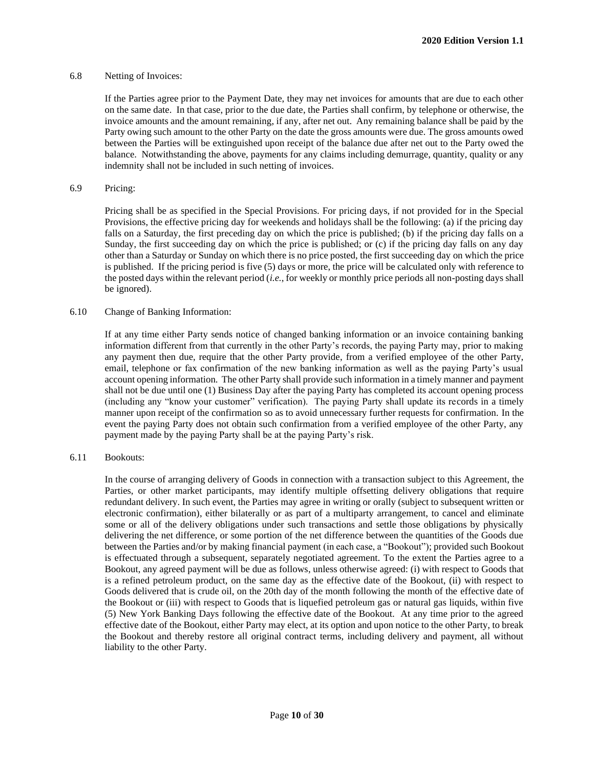#### 6.8 Netting of Invoices:

If the Parties agree prior to the Payment Date, they may net invoices for amounts that are due to each other on the same date. In that case, prior to the due date, the Parties shall confirm, by telephone or otherwise, the invoice amounts and the amount remaining, if any, after net out. Any remaining balance shall be paid by the Party owing such amount to the other Party on the date the gross amounts were due. The gross amounts owed between the Parties will be extinguished upon receipt of the balance due after net out to the Party owed the balance. Notwithstanding the above, payments for any claims including demurrage, quantity, quality or any indemnity shall not be included in such netting of invoices.

#### 6.9 Pricing:

Pricing shall be as specified in the Special Provisions. For pricing days, if not provided for in the Special Provisions, the effective pricing day for weekends and holidays shall be the following: (a) if the pricing day falls on a Saturday, the first preceding day on which the price is published; (b) if the pricing day falls on a Sunday, the first succeeding day on which the price is published; or (c) if the pricing day falls on any day other than a Saturday or Sunday on which there is no price posted, the first succeeding day on which the price is published. If the pricing period is five (5) days or more, the price will be calculated only with reference to the posted days within the relevant period (*i.e.*, for weekly or monthly price periods all non-posting days shall be ignored).

#### 6.10 Change of Banking Information:

If at any time either Party sends notice of changed banking information or an invoice containing banking information different from that currently in the other Party's records, the paying Party may, prior to making any payment then due, require that the other Party provide, from a verified employee of the other Party, email, telephone or fax confirmation of the new banking information as well as the paying Party's usual account opening information. The other Party shall provide such information in a timely manner and payment shall not be due until one (1) Business Day after the paying Party has completed its account opening process (including any "know your customer" verification). The paying Party shall update its records in a timely manner upon receipt of the confirmation so as to avoid unnecessary further requests for confirmation. In the event the paying Party does not obtain such confirmation from a verified employee of the other Party, any payment made by the paying Party shall be at the paying Party's risk.

#### 6.11 Bookouts:

In the course of arranging delivery of Goods in connection with a transaction subject to this Agreement, the Parties, or other market participants, may identify multiple offsetting delivery obligations that require redundant delivery. In such event, the Parties may agree in writing or orally (subject to subsequent written or electronic confirmation), either bilaterally or as part of a multiparty arrangement, to cancel and eliminate some or all of the delivery obligations under such transactions and settle those obligations by physically delivering the net difference, or some portion of the net difference between the quantities of the Goods due between the Parties and/or by making financial payment (in each case, a "Bookout"); provided such Bookout is effectuated through a subsequent, separately negotiated agreement. To the extent the Parties agree to a Bookout, any agreed payment will be due as follows, unless otherwise agreed: (i) with respect to Goods that is a refined petroleum product, on the same day as the effective date of the Bookout, (ii) with respect to Goods delivered that is crude oil, on the 20th day of the month following the month of the effective date of the Bookout or (iii) with respect to Goods that is liquefied petroleum gas or natural gas liquids, within five (5) New York Banking Days following the effective date of the Bookout. At any time prior to the agreed effective date of the Bookout, either Party may elect, at its option and upon notice to the other Party, to break the Bookout and thereby restore all original contract terms, including delivery and payment, all without liability to the other Party.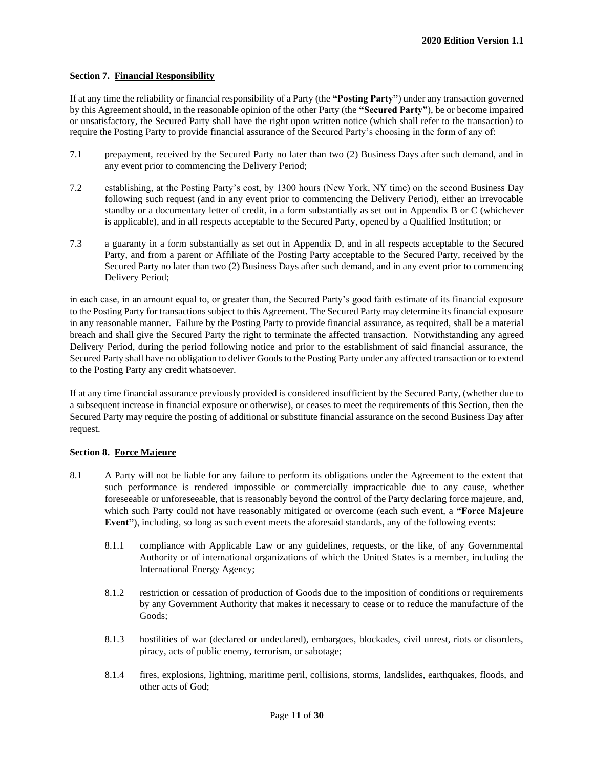#### **Section 7. Financial Responsibility**

If at any time the reliability or financial responsibility of a Party (the **"Posting Party"**) under any transaction governed by this Agreement should, in the reasonable opinion of the other Party (the **"Secured Party"**), be or become impaired or unsatisfactory, the Secured Party shall have the right upon written notice (which shall refer to the transaction) to require the Posting Party to provide financial assurance of the Secured Party's choosing in the form of any of:

- 7.1 prepayment, received by the Secured Party no later than two (2) Business Days after such demand, and in any event prior to commencing the Delivery Period;
- 7.2 establishing, at the Posting Party's cost, by 1300 hours (New York, NY time) on the second Business Day following such request (and in any event prior to commencing the Delivery Period), either an irrevocable standby or a documentary letter of credit, in a form substantially as set out in Appendix B or C (whichever is applicable), and in all respects acceptable to the Secured Party, opened by a Qualified Institution; or
- 7.3 a guaranty in a form substantially as set out in Appendix D, and in all respects acceptable to the Secured Party, and from a parent or Affiliate of the Posting Party acceptable to the Secured Party, received by the Secured Party no later than two (2) Business Days after such demand, and in any event prior to commencing Delivery Period;

in each case, in an amount equal to, or greater than, the Secured Party's good faith estimate of its financial exposure to the Posting Party for transactions subject to this Agreement. The Secured Party may determine its financial exposure in any reasonable manner. Failure by the Posting Party to provide financial assurance, as required, shall be a material breach and shall give the Secured Party the right to terminate the affected transaction. Notwithstanding any agreed Delivery Period, during the period following notice and prior to the establishment of said financial assurance, the Secured Party shall have no obligation to deliver Goods to the Posting Party under any affected transaction or to extend to the Posting Party any credit whatsoever.

If at any time financial assurance previously provided is considered insufficient by the Secured Party, (whether due to a subsequent increase in financial exposure or otherwise), or ceases to meet the requirements of this Section, then the Secured Party may require the posting of additional or substitute financial assurance on the second Business Day after request.

#### **Section 8. Force Majeure**

- 8.1 A Party will not be liable for any failure to perform its obligations under the Agreement to the extent that such performance is rendered impossible or commercially impracticable due to any cause, whether foreseeable or unforeseeable, that is reasonably beyond the control of the Party declaring force majeure, and, which such Party could not have reasonably mitigated or overcome (each such event, a **"Force Majeure Event"**), including, so long as such event meets the aforesaid standards, any of the following events:
	- 8.1.1 compliance with Applicable Law or any guidelines, requests, or the like, of any Governmental Authority or of international organizations of which the United States is a member, including the International Energy Agency;
	- 8.1.2 restriction or cessation of production of Goods due to the imposition of conditions or requirements by any Government Authority that makes it necessary to cease or to reduce the manufacture of the Goods;
	- 8.1.3 hostilities of war (declared or undeclared), embargoes, blockades, civil unrest, riots or disorders, piracy, acts of public enemy, terrorism, or sabotage;
	- 8.1.4 fires, explosions, lightning, maritime peril, collisions, storms, landslides, earthquakes, floods, and other acts of God;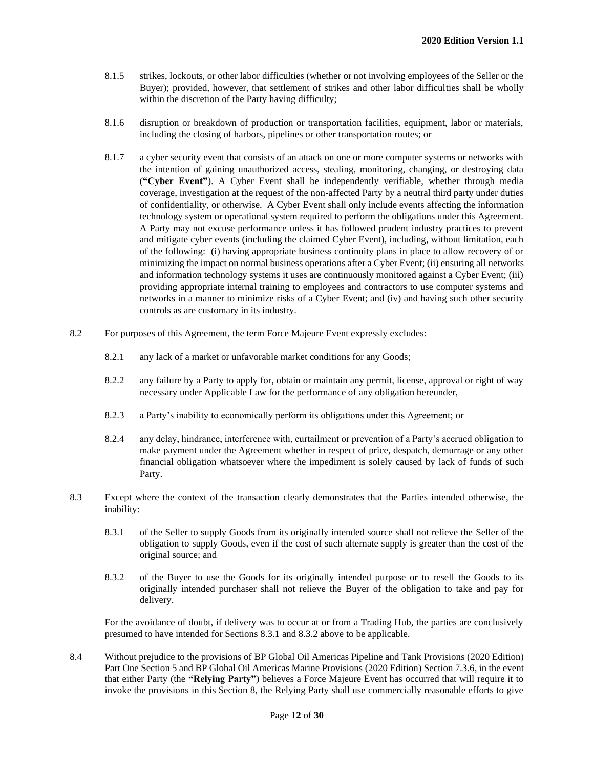- 8.1.5 strikes, lockouts, or other labor difficulties (whether or not involving employees of the Seller or the Buyer); provided, however, that settlement of strikes and other labor difficulties shall be wholly within the discretion of the Party having difficulty;
- 8.1.6 disruption or breakdown of production or transportation facilities, equipment, labor or materials, including the closing of harbors, pipelines or other transportation routes; or
- 8.1.7 a cyber security event that consists of an attack on one or more computer systems or networks with the intention of gaining unauthorized access, stealing, monitoring, changing, or destroying data (**"Cyber Event"**). A Cyber Event shall be independently verifiable, whether through media coverage, investigation at the request of the non-affected Party by a neutral third party under duties of confidentiality, or otherwise. A Cyber Event shall only include events affecting the information technology system or operational system required to perform the obligations under this Agreement. A Party may not excuse performance unless it has followed prudent industry practices to prevent and mitigate cyber events (including the claimed Cyber Event), including, without limitation, each of the following: (i) having appropriate business continuity plans in place to allow recovery of or minimizing the impact on normal business operations after a Cyber Event; (ii) ensuring all networks and information technology systems it uses are continuously monitored against a Cyber Event; (iii) providing appropriate internal training to employees and contractors to use computer systems and networks in a manner to minimize risks of a Cyber Event; and (iv) and having such other security controls as are customary in its industry.
- 8.2 For purposes of this Agreement, the term Force Majeure Event expressly excludes:
	- 8.2.1 any lack of a market or unfavorable market conditions for any Goods;
	- 8.2.2 any failure by a Party to apply for, obtain or maintain any permit, license, approval or right of way necessary under Applicable Law for the performance of any obligation hereunder,
	- 8.2.3 a Party's inability to economically perform its obligations under this Agreement; or
	- 8.2.4 any delay, hindrance, interference with, curtailment or prevention of a Party's accrued obligation to make payment under the Agreement whether in respect of price, despatch, demurrage or any other financial obligation whatsoever where the impediment is solely caused by lack of funds of such Party.
- 8.3 Except where the context of the transaction clearly demonstrates that the Parties intended otherwise, the inability:
	- 8.3.1 of the Seller to supply Goods from its originally intended source shall not relieve the Seller of the obligation to supply Goods, even if the cost of such alternate supply is greater than the cost of the original source; and
	- 8.3.2 of the Buyer to use the Goods for its originally intended purpose or to resell the Goods to its originally intended purchaser shall not relieve the Buyer of the obligation to take and pay for delivery.

For the avoidance of doubt, if delivery was to occur at or from a Trading Hub, the parties are conclusively presumed to have intended for Sections 8.3.1 and 8.3.2 above to be applicable.

8.4 Without prejudice to the provisions of BP Global Oil Americas Pipeline and Tank Provisions (2020 Edition) Part One Section 5 and BP Global Oil Americas Marine Provisions (2020 Edition) Section 7.3.6, in the event that either Party (the **"Relying Party"**) believes a Force Majeure Event has occurred that will require it to invoke the provisions in this Section 8, the Relying Party shall use commercially reasonable efforts to give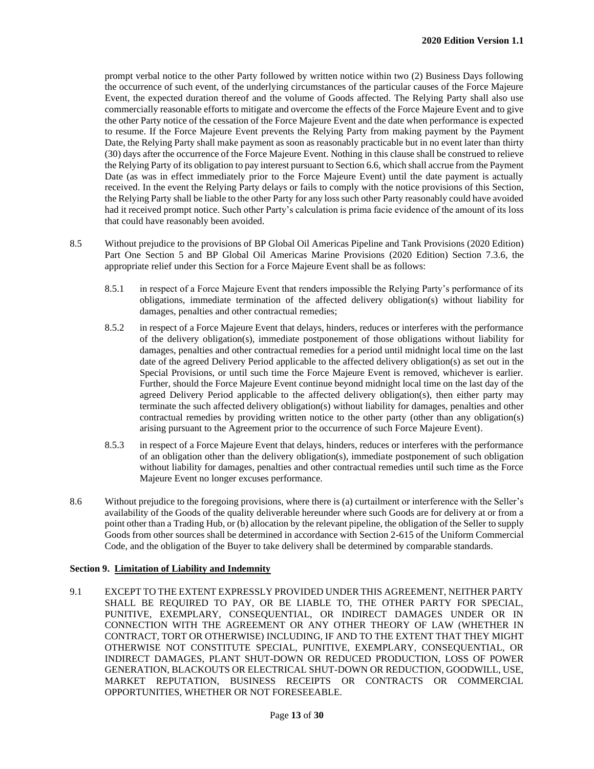prompt verbal notice to the other Party followed by written notice within two (2) Business Days following the occurrence of such event, of the underlying circumstances of the particular causes of the Force Majeure Event, the expected duration thereof and the volume of Goods affected. The Relying Party shall also use commercially reasonable efforts to mitigate and overcome the effects of the Force Majeure Event and to give the other Party notice of the cessation of the Force Majeure Event and the date when performance is expected to resume. If the Force Majeure Event prevents the Relying Party from making payment by the Payment Date, the Relying Party shall make payment as soon as reasonably practicable but in no event later than thirty (30) days after the occurrence of the Force Majeure Event. Nothing in this clause shall be construed to relieve the Relying Party of its obligation to pay interest pursuant to Section 6.6, which shall accrue from the Payment Date (as was in effect immediately prior to the Force Majeure Event) until the date payment is actually received. In the event the Relying Party delays or fails to comply with the notice provisions of this Section, the Relying Party shall be liable to the other Party for any loss such other Party reasonably could have avoided had it received prompt notice. Such other Party's calculation is prima facie evidence of the amount of its loss that could have reasonably been avoided.

- 8.5 Without prejudice to the provisions of BP Global Oil Americas Pipeline and Tank Provisions (2020 Edition) Part One Section 5 and BP Global Oil Americas Marine Provisions (2020 Edition) Section 7.3.6, the appropriate relief under this Section for a Force Majeure Event shall be as follows:
	- 8.5.1 in respect of a Force Majeure Event that renders impossible the Relying Party's performance of its obligations, immediate termination of the affected delivery obligation(s) without liability for damages, penalties and other contractual remedies;
	- 8.5.2 in respect of a Force Majeure Event that delays, hinders, reduces or interferes with the performance of the delivery obligation(s), immediate postponement of those obligations without liability for damages, penalties and other contractual remedies for a period until midnight local time on the last date of the agreed Delivery Period applicable to the affected delivery obligation(s) as set out in the Special Provisions, or until such time the Force Majeure Event is removed, whichever is earlier. Further, should the Force Majeure Event continue beyond midnight local time on the last day of the agreed Delivery Period applicable to the affected delivery obligation(s), then either party may terminate the such affected delivery obligation(s) without liability for damages, penalties and other contractual remedies by providing written notice to the other party (other than any obligation(s) arising pursuant to the Agreement prior to the occurrence of such Force Majeure Event).
	- 8.5.3 in respect of a Force Majeure Event that delays, hinders, reduces or interferes with the performance of an obligation other than the delivery obligation(s), immediate postponement of such obligation without liability for damages, penalties and other contractual remedies until such time as the Force Majeure Event no longer excuses performance.
- 8.6 Without prejudice to the foregoing provisions, where there is (a) curtailment or interference with the Seller's availability of the Goods of the quality deliverable hereunder where such Goods are for delivery at or from a point other than a Trading Hub, or (b) allocation by the relevant pipeline, the obligation of the Seller to supply Goods from other sources shall be determined in accordance with Section 2-615 of the Uniform Commercial Code, and the obligation of the Buyer to take delivery shall be determined by comparable standards.

#### **Section 9. Limitation of Liability and Indemnity**

9.1 EXCEPT TO THE EXTENT EXPRESSLY PROVIDED UNDER THIS AGREEMENT, NEITHER PARTY SHALL BE REQUIRED TO PAY, OR BE LIABLE TO, THE OTHER PARTY FOR SPECIAL, PUNITIVE, EXEMPLARY, CONSEQUENTIAL, OR INDIRECT DAMAGES UNDER OR IN CONNECTION WITH THE AGREEMENT OR ANY OTHER THEORY OF LAW (WHETHER IN CONTRACT, TORT OR OTHERWISE) INCLUDING, IF AND TO THE EXTENT THAT THEY MIGHT OTHERWISE NOT CONSTITUTE SPECIAL, PUNITIVE, EXEMPLARY, CONSEQUENTIAL, OR INDIRECT DAMAGES, PLANT SHUT-DOWN OR REDUCED PRODUCTION, LOSS OF POWER GENERATION, BLACKOUTS OR ELECTRICAL SHUT-DOWN OR REDUCTION, GOODWILL, USE, MARKET REPUTATION, BUSINESS RECEIPTS OR CONTRACTS OR COMMERCIAL OPPORTUNITIES, WHETHER OR NOT FORESEEABLE.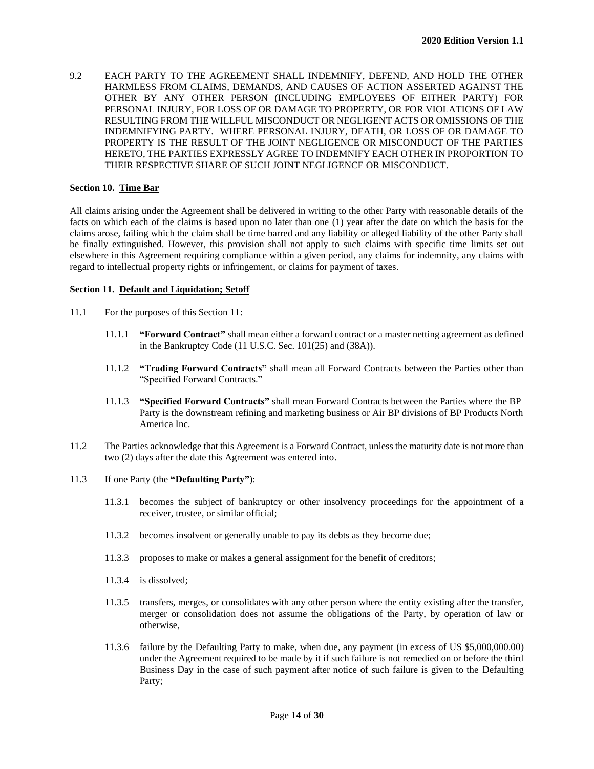9.2 EACH PARTY TO THE AGREEMENT SHALL INDEMNIFY, DEFEND, AND HOLD THE OTHER HARMLESS FROM CLAIMS, DEMANDS, AND CAUSES OF ACTION ASSERTED AGAINST THE OTHER BY ANY OTHER PERSON (INCLUDING EMPLOYEES OF EITHER PARTY) FOR PERSONAL INJURY, FOR LOSS OF OR DAMAGE TO PROPERTY, OR FOR VIOLATIONS OF LAW RESULTING FROM THE WILLFUL MISCONDUCT OR NEGLIGENT ACTS OR OMISSIONS OF THE INDEMNIFYING PARTY. WHERE PERSONAL INJURY, DEATH, OR LOSS OF OR DAMAGE TO PROPERTY IS THE RESULT OF THE JOINT NEGLIGENCE OR MISCONDUCT OF THE PARTIES HERETO, THE PARTIES EXPRESSLY AGREE TO INDEMNIFY EACH OTHER IN PROPORTION TO THEIR RESPECTIVE SHARE OF SUCH JOINT NEGLIGENCE OR MISCONDUCT.

#### **Section 10. Time Bar**

All claims arising under the Agreement shall be delivered in writing to the other Party with reasonable details of the facts on which each of the claims is based upon no later than one (1) year after the date on which the basis for the claims arose, failing which the claim shall be time barred and any liability or alleged liability of the other Party shall be finally extinguished. However, this provision shall not apply to such claims with specific time limits set out elsewhere in this Agreement requiring compliance within a given period, any claims for indemnity, any claims with regard to intellectual property rights or infringement, or claims for payment of taxes.

#### **Section 11. Default and Liquidation; Setoff**

- 11.1 For the purposes of this Section 11:
	- 11.1.1 **"Forward Contract"** shall mean either a forward contract or a master netting agreement as defined in the Bankruptcy Code (11 U.S.C. Sec. 101(25) and (38A)).
	- 11.1.2 **"Trading Forward Contracts"** shall mean all Forward Contracts between the Parties other than "Specified Forward Contracts."
	- 11.1.3 **"Specified Forward Contracts"** shall mean Forward Contracts between the Parties where the BP Party is the downstream refining and marketing business or Air BP divisions of BP Products North America Inc.
- 11.2 The Parties acknowledge that this Agreement is a Forward Contract, unless the maturity date is not more than two (2) days after the date this Agreement was entered into.
- 11.3 If one Party (the **"Defaulting Party"**):
	- 11.3.1 becomes the subject of bankruptcy or other insolvency proceedings for the appointment of a receiver, trustee, or similar official;
	- 11.3.2 becomes insolvent or generally unable to pay its debts as they become due;
	- 11.3.3 proposes to make or makes a general assignment for the benefit of creditors;
	- 11.3.4 is dissolved;
	- 11.3.5 transfers, merges, or consolidates with any other person where the entity existing after the transfer, merger or consolidation does not assume the obligations of the Party, by operation of law or otherwise,
	- 11.3.6 failure by the Defaulting Party to make, when due, any payment (in excess of US \$5,000,000.00) under the Agreement required to be made by it if such failure is not remedied on or before the third Business Day in the case of such payment after notice of such failure is given to the Defaulting Party;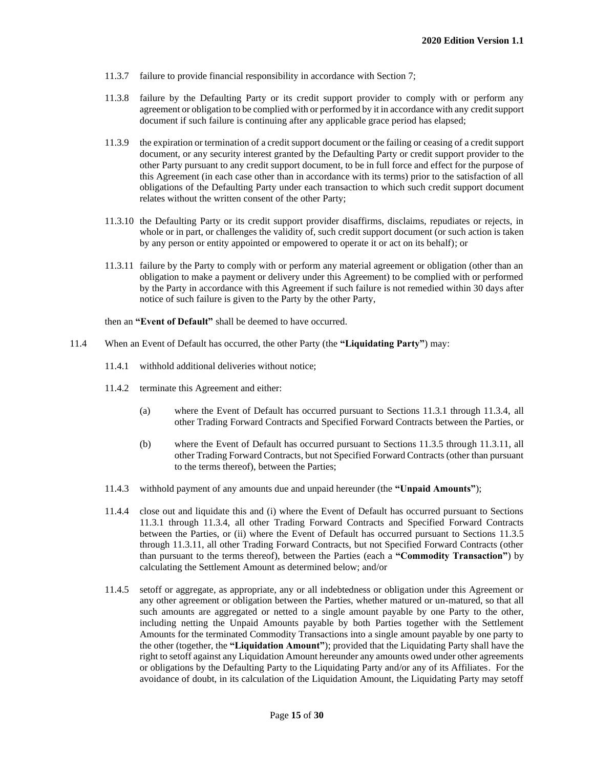- 11.3.7 failure to provide financial responsibility in accordance with Section 7;
- 11.3.8 failure by the Defaulting Party or its credit support provider to comply with or perform any agreement or obligation to be complied with or performed by it in accordance with any credit support document if such failure is continuing after any applicable grace period has elapsed;
- 11.3.9 the expiration or termination of a credit support document or the failing or ceasing of a credit support document, or any security interest granted by the Defaulting Party or credit support provider to the other Party pursuant to any credit support document, to be in full force and effect for the purpose of this Agreement (in each case other than in accordance with its terms) prior to the satisfaction of all obligations of the Defaulting Party under each transaction to which such credit support document relates without the written consent of the other Party;
- 11.3.10 the Defaulting Party or its credit support provider disaffirms, disclaims, repudiates or rejects, in whole or in part, or challenges the validity of, such credit support document (or such action is taken by any person or entity appointed or empowered to operate it or act on its behalf); or
- 11.3.11 failure by the Party to comply with or perform any material agreement or obligation (other than an obligation to make a payment or delivery under this Agreement) to be complied with or performed by the Party in accordance with this Agreement if such failure is not remedied within 30 days after notice of such failure is given to the Party by the other Party,

then an **"Event of Default"** shall be deemed to have occurred.

- 11.4 When an Event of Default has occurred, the other Party (the **"Liquidating Party"**) may:
	- 11.4.1 withhold additional deliveries without notice;
	- 11.4.2 terminate this Agreement and either:
		- (a) where the Event of Default has occurred pursuant to Sections 11.3.1 through 11.3.4, all other Trading Forward Contracts and Specified Forward Contracts between the Parties, or
		- (b) where the Event of Default has occurred pursuant to Sections 11.3.5 through 11.3.11, all other Trading Forward Contracts, but not Specified Forward Contracts (other than pursuant to the terms thereof), between the Parties;
	- 11.4.3 withhold payment of any amounts due and unpaid hereunder (the **"Unpaid Amounts"**);
	- 11.4.4 close out and liquidate this and (i) where the Event of Default has occurred pursuant to Sections 11.3.1 through 11.3.4, all other Trading Forward Contracts and Specified Forward Contracts between the Parties, or (ii) where the Event of Default has occurred pursuant to Sections 11.3.5 through 11.3.11, all other Trading Forward Contracts, but not Specified Forward Contracts (other than pursuant to the terms thereof), between the Parties (each a **"Commodity Transaction"**) by calculating the Settlement Amount as determined below; and/or
	- 11.4.5 setoff or aggregate, as appropriate, any or all indebtedness or obligation under this Agreement or any other agreement or obligation between the Parties, whether matured or un-matured, so that all such amounts are aggregated or netted to a single amount payable by one Party to the other, including netting the Unpaid Amounts payable by both Parties together with the Settlement Amounts for the terminated Commodity Transactions into a single amount payable by one party to the other (together, the **"Liquidation Amount"**); provided that the Liquidating Party shall have the right to setoff against any Liquidation Amount hereunder any amounts owed under other agreements or obligations by the Defaulting Party to the Liquidating Party and/or any of its Affiliates. For the avoidance of doubt, in its calculation of the Liquidation Amount, the Liquidating Party may setoff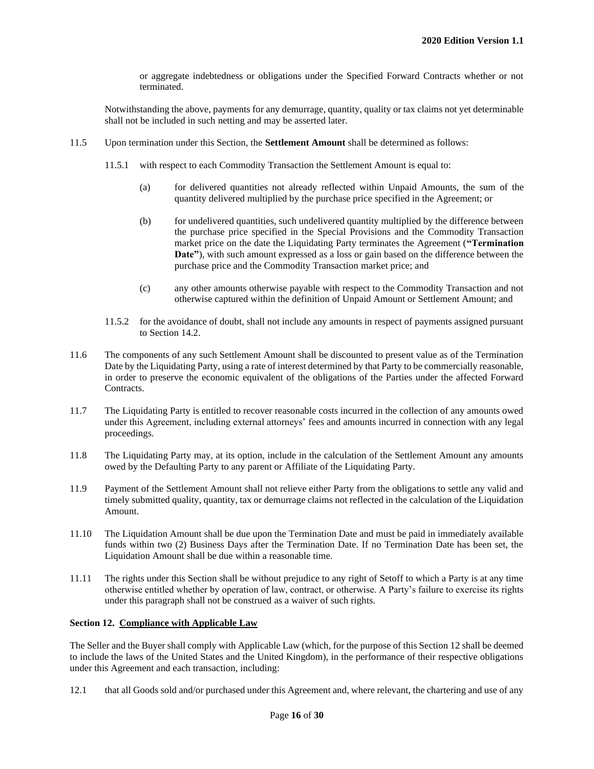or aggregate indebtedness or obligations under the Specified Forward Contracts whether or not terminated.

Notwithstanding the above, payments for any demurrage, quantity, quality or tax claims not yet determinable shall not be included in such netting and may be asserted later.

- 11.5 Upon termination under this Section, the **Settlement Amount** shall be determined as follows:
	- 11.5.1 with respect to each Commodity Transaction the Settlement Amount is equal to:
		- (a) for delivered quantities not already reflected within Unpaid Amounts, the sum of the quantity delivered multiplied by the purchase price specified in the Agreement; or
		- (b) for undelivered quantities, such undelivered quantity multiplied by the difference between the purchase price specified in the Special Provisions and the Commodity Transaction market price on the date the Liquidating Party terminates the Agreement (**"Termination Date"**), with such amount expressed as a loss or gain based on the difference between the purchase price and the Commodity Transaction market price; and
		- (c) any other amounts otherwise payable with respect to the Commodity Transaction and not otherwise captured within the definition of Unpaid Amount or Settlement Amount; and
	- 11.5.2 for the avoidance of doubt, shall not include any amounts in respect of payments assigned pursuant to Section 14.2.
- 11.6 The components of any such Settlement Amount shall be discounted to present value as of the Termination Date by the Liquidating Party, using a rate of interest determined by that Party to be commercially reasonable, in order to preserve the economic equivalent of the obligations of the Parties under the affected Forward Contracts.
- 11.7 The Liquidating Party is entitled to recover reasonable costs incurred in the collection of any amounts owed under this Agreement, including external attorneys' fees and amounts incurred in connection with any legal proceedings.
- 11.8 The Liquidating Party may, at its option, include in the calculation of the Settlement Amount any amounts owed by the Defaulting Party to any parent or Affiliate of the Liquidating Party.
- 11.9 Payment of the Settlement Amount shall not relieve either Party from the obligations to settle any valid and timely submitted quality, quantity, tax or demurrage claims not reflected in the calculation of the Liquidation Amount.
- 11.10 The Liquidation Amount shall be due upon the Termination Date and must be paid in immediately available funds within two (2) Business Days after the Termination Date. If no Termination Date has been set, the Liquidation Amount shall be due within a reasonable time.
- 11.11 The rights under this Section shall be without prejudice to any right of Setoff to which a Party is at any time otherwise entitled whether by operation of law, contract, or otherwise. A Party's failure to exercise its rights under this paragraph shall not be construed as a waiver of such rights.

#### **Section 12. Compliance with Applicable Law**

The Seller and the Buyer shall comply with Applicable Law (which, for the purpose of this Section 12 shall be deemed to include the laws of the United States and the United Kingdom), in the performance of their respective obligations under this Agreement and each transaction, including:

12.1 that all Goods sold and/or purchased under this Agreement and, where relevant, the chartering and use of any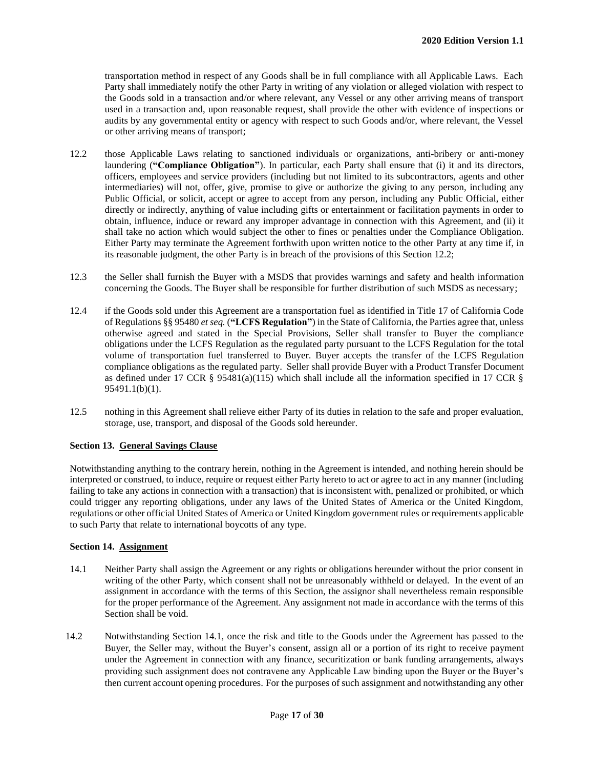transportation method in respect of any Goods shall be in full compliance with all Applicable Laws. Each Party shall immediately notify the other Party in writing of any violation or alleged violation with respect to the Goods sold in a transaction and/or where relevant, any Vessel or any other arriving means of transport used in a transaction and, upon reasonable request, shall provide the other with evidence of inspections or audits by any governmental entity or agency with respect to such Goods and/or, where relevant, the Vessel or other arriving means of transport;

- 12.2 those Applicable Laws relating to sanctioned individuals or organizations, anti-bribery or anti-money laundering (**"Compliance Obligation"**). In particular, each Party shall ensure that (i) it and its directors, officers, employees and service providers (including but not limited to its subcontractors, agents and other intermediaries) will not, offer, give, promise to give or authorize the giving to any person, including any Public Official, or solicit, accept or agree to accept from any person, including any Public Official, either directly or indirectly, anything of value including gifts or entertainment or facilitation payments in order to obtain, influence, induce or reward any improper advantage in connection with this Agreement, and (ii) it shall take no action which would subject the other to fines or penalties under the Compliance Obligation. Either Party may terminate the Agreement forthwith upon written notice to the other Party at any time if, in its reasonable judgment, the other Party is in breach of the provisions of this Section 12.2;
- 12.3 the Seller shall furnish the Buyer with a MSDS that provides warnings and safety and health information concerning the Goods. The Buyer shall be responsible for further distribution of such MSDS as necessary;
- 12.4 if the Goods sold under this Agreement are a transportation fuel as identified in Title 17 of California Code of Regulations §§ 95480 *et seq.* (**"LCFS Regulation"**) in the State of California, the Parties agree that, unless otherwise agreed and stated in the Special Provisions, Seller shall transfer to Buyer the compliance obligations under the LCFS Regulation as the regulated party pursuant to the LCFS Regulation for the total volume of transportation fuel transferred to Buyer. Buyer accepts the transfer of the LCFS Regulation compliance obligations as the regulated party. Seller shall provide Buyer with a Product Transfer Document as defined under 17 CCR § 95481(a)(115) which shall include all the information specified in 17 CCR § 95491.1(b)(1).
- 12.5 nothing in this Agreement shall relieve either Party of its duties in relation to the safe and proper evaluation, storage, use, transport, and disposal of the Goods sold hereunder.

#### **Section 13. General Savings Clause**

Notwithstanding anything to the contrary herein, nothing in the Agreement is intended, and nothing herein should be interpreted or construed, to induce, require or request either Party hereto to act or agree to act in any manner (including failing to take any actions in connection with a transaction) that is inconsistent with, penalized or prohibited, or which could trigger any reporting obligations, under any laws of the United States of America or the United Kingdom, regulations or other official United States of America or United Kingdom government rules or requirements applicable to such Party that relate to international boycotts of any type.

#### **Section 14. Assignment**

- 14.1 Neither Party shall assign the Agreement or any rights or obligations hereunder without the prior consent in writing of the other Party, which consent shall not be unreasonably withheld or delayed. In the event of an assignment in accordance with the terms of this Section, the assignor shall nevertheless remain responsible for the proper performance of the Agreement. Any assignment not made in accordance with the terms of this Section shall be void.
- 14.2 Notwithstanding Section 14.1, once the risk and title to the Goods under the Agreement has passed to the Buyer, the Seller may, without the Buyer's consent, assign all or a portion of its right to receive payment under the Agreement in connection with any finance, securitization or bank funding arrangements, always providing such assignment does not contravene any Applicable Law binding upon the Buyer or the Buyer's then current account opening procedures. For the purposes of such assignment and notwithstanding any other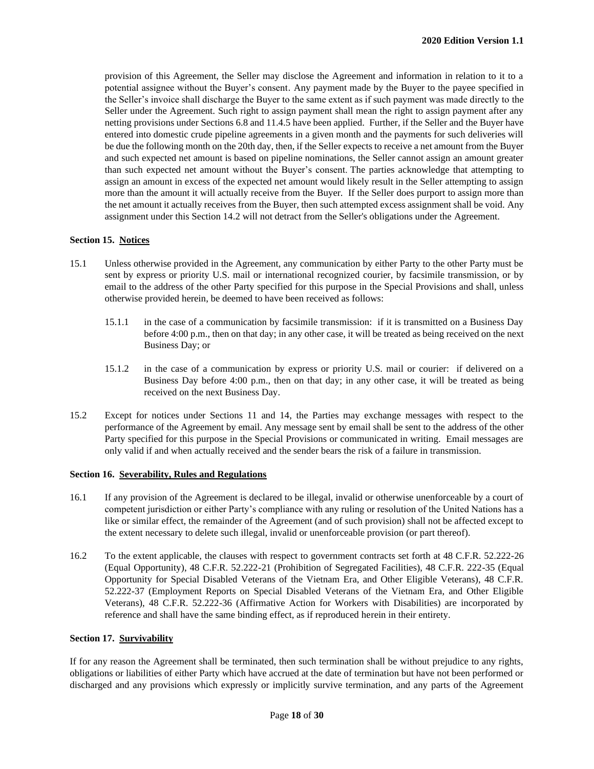provision of this Agreement, the Seller may disclose the Agreement and information in relation to it to a potential assignee without the Buyer's consent. Any payment made by the Buyer to the payee specified in the Seller's invoice shall discharge the Buyer to the same extent as if such payment was made directly to the Seller under the Agreement. Such right to assign payment shall mean the right to assign payment after any netting provisions under Sections 6.8 and 11.4.5 have been applied. Further, if the Seller and the Buyer have entered into domestic crude pipeline agreements in a given month and the payments for such deliveries will be due the following month on the 20th day, then, if the Seller expects to receive a net amount from the Buyer and such expected net amount is based on pipeline nominations, the Seller cannot assign an amount greater than such expected net amount without the Buyer's consent. The parties acknowledge that attempting to assign an amount in excess of the expected net amount would likely result in the Seller attempting to assign more than the amount it will actually receive from the Buyer. If the Seller does purport to assign more than the net amount it actually receives from the Buyer, then such attempted excess assignment shall be void. Any assignment under this Section 14.2 will not detract from the Seller's obligations under the Agreement.

#### **Section 15. Notices**

- 15.1 Unless otherwise provided in the Agreement, any communication by either Party to the other Party must be sent by express or priority U.S. mail or international recognized courier, by facsimile transmission, or by email to the address of the other Party specified for this purpose in the Special Provisions and shall, unless otherwise provided herein, be deemed to have been received as follows:
	- 15.1.1 in the case of a communication by facsimile transmission: if it is transmitted on a Business Day before 4:00 p.m., then on that day; in any other case, it will be treated as being received on the next Business Day; or
	- 15.1.2 in the case of a communication by express or priority U.S. mail or courier: if delivered on a Business Day before 4:00 p.m., then on that day; in any other case, it will be treated as being received on the next Business Day.
- 15.2 Except for notices under Sections 11 and 14, the Parties may exchange messages with respect to the performance of the Agreement by email. Any message sent by email shall be sent to the address of the other Party specified for this purpose in the Special Provisions or communicated in writing. Email messages are only valid if and when actually received and the sender bears the risk of a failure in transmission.

#### **Section 16. Severability, Rules and Regulations**

- 16.1 If any provision of the Agreement is declared to be illegal, invalid or otherwise unenforceable by a court of competent jurisdiction or either Party's compliance with any ruling or resolution of the United Nations has a like or similar effect, the remainder of the Agreement (and of such provision) shall not be affected except to the extent necessary to delete such illegal, invalid or unenforceable provision (or part thereof).
- 16.2 To the extent applicable, the clauses with respect to government contracts set forth at 48 C.F.R. 52.222-26 (Equal Opportunity), 48 C.F.R. 52.222-21 (Prohibition of Segregated Facilities), 48 C.F.R. 222-35 (Equal Opportunity for Special Disabled Veterans of the Vietnam Era, and Other Eligible Veterans), 48 C.F.R. 52.222-37 (Employment Reports on Special Disabled Veterans of the Vietnam Era, and Other Eligible Veterans), 48 C.F.R. 52.222-36 (Affirmative Action for Workers with Disabilities) are incorporated by reference and shall have the same binding effect, as if reproduced herein in their entirety.

#### **Section 17. Survivability**

If for any reason the Agreement shall be terminated, then such termination shall be without prejudice to any rights, obligations or liabilities of either Party which have accrued at the date of termination but have not been performed or discharged and any provisions which expressly or implicitly survive termination, and any parts of the Agreement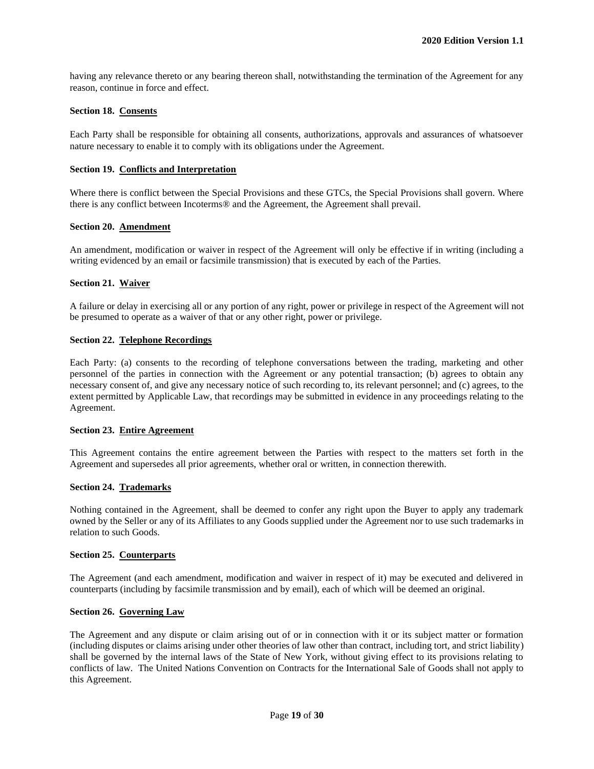having any relevance thereto or any bearing thereon shall, notwithstanding the termination of the Agreement for any reason, continue in force and effect.

#### **Section 18. Consents**

Each Party shall be responsible for obtaining all consents, authorizations, approvals and assurances of whatsoever nature necessary to enable it to comply with its obligations under the Agreement.

#### **Section 19. Conflicts and Interpretation**

Where there is conflict between the Special Provisions and these GTCs, the Special Provisions shall govern. Where there is any conflict between Incoterms® and the Agreement, the Agreement shall prevail.

#### **Section 20. Amendment**

An amendment, modification or waiver in respect of the Agreement will only be effective if in writing (including a writing evidenced by an email or facsimile transmission) that is executed by each of the Parties.

#### **Section 21. Waiver**

A failure or delay in exercising all or any portion of any right, power or privilege in respect of the Agreement will not be presumed to operate as a waiver of that or any other right, power or privilege.

#### **Section 22. Telephone Recordings**

Each Party: (a) consents to the recording of telephone conversations between the trading, marketing and other personnel of the parties in connection with the Agreement or any potential transaction; (b) agrees to obtain any necessary consent of, and give any necessary notice of such recording to, its relevant personnel; and (c) agrees, to the extent permitted by Applicable Law, that recordings may be submitted in evidence in any proceedings relating to the Agreement.

#### **Section 23. Entire Agreement**

This Agreement contains the entire agreement between the Parties with respect to the matters set forth in the Agreement and supersedes all prior agreements, whether oral or written, in connection therewith.

#### **Section 24. Trademarks**

Nothing contained in the Agreement, shall be deemed to confer any right upon the Buyer to apply any trademark owned by the Seller or any of its Affiliates to any Goods supplied under the Agreement nor to use such trademarks in relation to such Goods.

#### **Section 25. Counterparts**

The Agreement (and each amendment, modification and waiver in respect of it) may be executed and delivered in counterparts (including by facsimile transmission and by email), each of which will be deemed an original.

#### **Section 26. Governing Law**

The Agreement and any dispute or claim arising out of or in connection with it or its subject matter or formation (including disputes or claims arising under other theories of law other than contract, including tort, and strict liability) shall be governed by the internal laws of the State of New York, without giving effect to its provisions relating to conflicts of law. The United Nations Convention on Contracts for the International Sale of Goods shall not apply to this Agreement.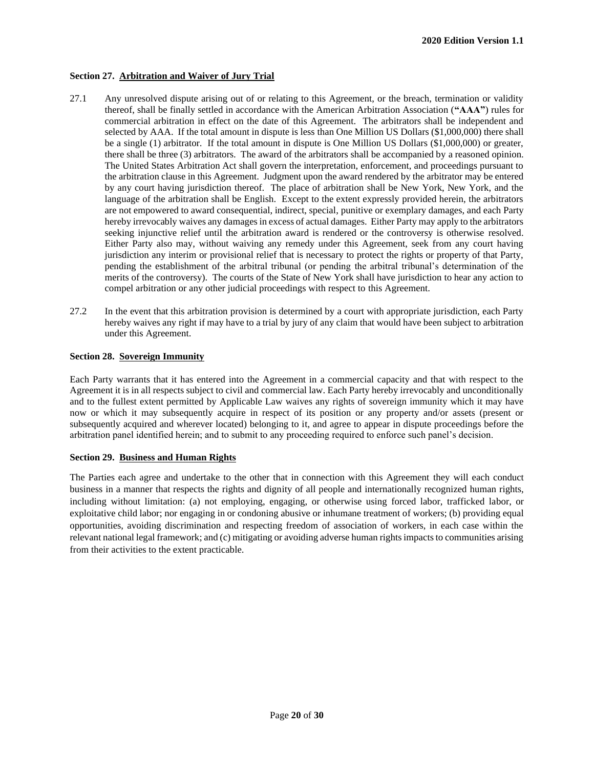#### **Section 27. Arbitration and Waiver of Jury Trial**

- 27.1 Any unresolved dispute arising out of or relating to this Agreement, or the breach, termination or validity thereof, shall be finally settled in accordance with the American Arbitration Association (**"AAA"**) rules for commercial arbitration in effect on the date of this Agreement. The arbitrators shall be independent and selected by AAA. If the total amount in dispute is less than One Million US Dollars (\$1,000,000) there shall be a single (1) arbitrator. If the total amount in dispute is One Million US Dollars (\$1,000,000) or greater, there shall be three (3) arbitrators. The award of the arbitrators shall be accompanied by a reasoned opinion. The United States Arbitration Act shall govern the interpretation, enforcement, and proceedings pursuant to the arbitration clause in this Agreement. Judgment upon the award rendered by the arbitrator may be entered by any court having jurisdiction thereof. The place of arbitration shall be New York, New York, and the language of the arbitration shall be English. Except to the extent expressly provided herein, the arbitrators are not empowered to award consequential, indirect, special, punitive or exemplary damages, and each Party hereby irrevocably waives any damages in excess of actual damages. Either Party may apply to the arbitrators seeking injunctive relief until the arbitration award is rendered or the controversy is otherwise resolved. Either Party also may, without waiving any remedy under this Agreement, seek from any court having jurisdiction any interim or provisional relief that is necessary to protect the rights or property of that Party, pending the establishment of the arbitral tribunal (or pending the arbitral tribunal's determination of the merits of the controversy). The courts of the State of New York shall have jurisdiction to hear any action to compel arbitration or any other judicial proceedings with respect to this Agreement.
- 27.2 In the event that this arbitration provision is determined by a court with appropriate jurisdiction, each Party hereby waives any right if may have to a trial by jury of any claim that would have been subject to arbitration under this Agreement.

#### **Section 28. Sovereign Immunity**

Each Party warrants that it has entered into the Agreement in a commercial capacity and that with respect to the Agreement it is in all respects subject to civil and commercial law. Each Party hereby irrevocably and unconditionally and to the fullest extent permitted by Applicable Law waives any rights of sovereign immunity which it may have now or which it may subsequently acquire in respect of its position or any property and/or assets (present or subsequently acquired and wherever located) belonging to it, and agree to appear in dispute proceedings before the arbitration panel identified herein; and to submit to any proceeding required to enforce such panel's decision.

#### **Section 29. Business and Human Rights**

The Parties each agree and undertake to the other that in connection with this Agreement they will each conduct business in a manner that respects the rights and dignity of all people and internationally recognized human rights, including without limitation: (a) not employing, engaging, or otherwise using forced labor, trafficked labor, or exploitative child labor; nor engaging in or condoning abusive or inhumane treatment of workers; (b) providing equal opportunities, avoiding discrimination and respecting freedom of association of workers, in each case within the relevant national legal framework; and (c) mitigating or avoiding adverse human rights impacts to communities arising from their activities to the extent practicable.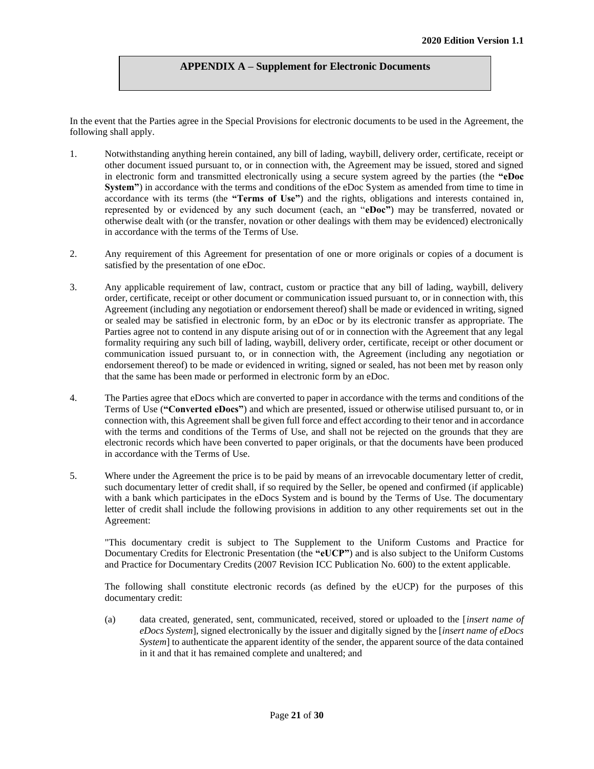#### **APPENDIX A – Supplement for Electronic Documents**

In the event that the Parties agree in the Special Provisions for electronic documents to be used in the Agreement, the following shall apply.

- 1. Notwithstanding anything herein contained, any bill of lading, waybill, delivery order, certificate, receipt or other document issued pursuant to, or in connection with, the Agreement may be issued, stored and signed in electronic form and transmitted electronically using a secure system agreed by the parties (the **"eDoc System"**) in accordance with the terms and conditions of the eDoc System as amended from time to time in accordance with its terms (the **"Terms of Use"**) and the rights, obligations and interests contained in, represented by or evidenced by any such document (each, an "**eDoc"**) may be transferred, novated or otherwise dealt with (or the transfer, novation or other dealings with them may be evidenced) electronically in accordance with the terms of the Terms of Use.
- 2. Any requirement of this Agreement for presentation of one or more originals or copies of a document is satisfied by the presentation of one eDoc.
- 3. Any applicable requirement of law, contract, custom or practice that any bill of lading, waybill, delivery order, certificate, receipt or other document or communication issued pursuant to, or in connection with, this Agreement (including any negotiation or endorsement thereof) shall be made or evidenced in writing, signed or sealed may be satisfied in electronic form, by an eDoc or by its electronic transfer as appropriate. The Parties agree not to contend in any dispute arising out of or in connection with the Agreement that any legal formality requiring any such bill of lading, waybill, delivery order, certificate, receipt or other document or communication issued pursuant to, or in connection with, the Agreement (including any negotiation or endorsement thereof) to be made or evidenced in writing, signed or sealed, has not been met by reason only that the same has been made or performed in electronic form by an eDoc.
- 4. The Parties agree that eDocs which are converted to paper in accordance with the terms and conditions of the Terms of Use (**"Converted eDocs"**) and which are presented, issued or otherwise utilised pursuant to, or in connection with, this Agreement shall be given full force and effect according to their tenor and in accordance with the terms and conditions of the Terms of Use, and shall not be rejected on the grounds that they are electronic records which have been converted to paper originals, or that the documents have been produced in accordance with the Terms of Use.
- 5. Where under the Agreement the price is to be paid by means of an irrevocable documentary letter of credit, such documentary letter of credit shall, if so required by the Seller, be opened and confirmed (if applicable) with a bank which participates in the eDocs System and is bound by the Terms of Use. The documentary letter of credit shall include the following provisions in addition to any other requirements set out in the Agreement:

"This documentary credit is subject to The Supplement to the Uniform Customs and Practice for Documentary Credits for Electronic Presentation (the **"eUCP"**) and is also subject to the Uniform Customs and Practice for Documentary Credits (2007 Revision ICC Publication No. 600) to the extent applicable.

The following shall constitute electronic records (as defined by the eUCP) for the purposes of this documentary credit:

(a) data created, generated, sent, communicated, received, stored or uploaded to the [*insert name of eDocs System*], signed electronically by the issuer and digitally signed by the [*insert name of eDocs System* to authenticate the apparent identity of the sender, the apparent source of the data contained in it and that it has remained complete and unaltered; and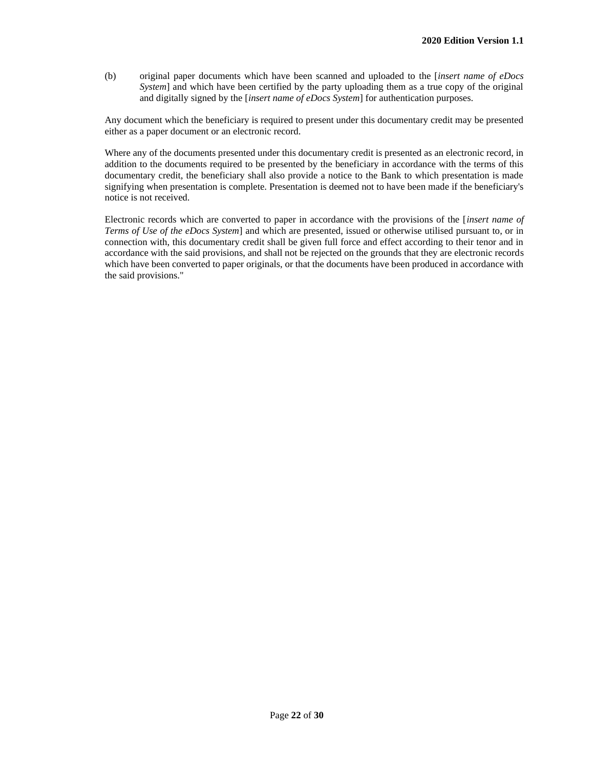(b) original paper documents which have been scanned and uploaded to the [*insert name of eDocs System*] and which have been certified by the party uploading them as a true copy of the original and digitally signed by the [*insert name of eDocs System*] for authentication purposes.

Any document which the beneficiary is required to present under this documentary credit may be presented either as a paper document or an electronic record.

Where any of the documents presented under this documentary credit is presented as an electronic record, in addition to the documents required to be presented by the beneficiary in accordance with the terms of this documentary credit, the beneficiary shall also provide a notice to the Bank to which presentation is made signifying when presentation is complete. Presentation is deemed not to have been made if the beneficiary's notice is not received.

Electronic records which are converted to paper in accordance with the provisions of the [*insert name of Terms of Use of the eDocs System*] and which are presented, issued or otherwise utilised pursuant to, or in connection with, this documentary credit shall be given full force and effect according to their tenor and in accordance with the said provisions, and shall not be rejected on the grounds that they are electronic records which have been converted to paper originals, or that the documents have been produced in accordance with the said provisions."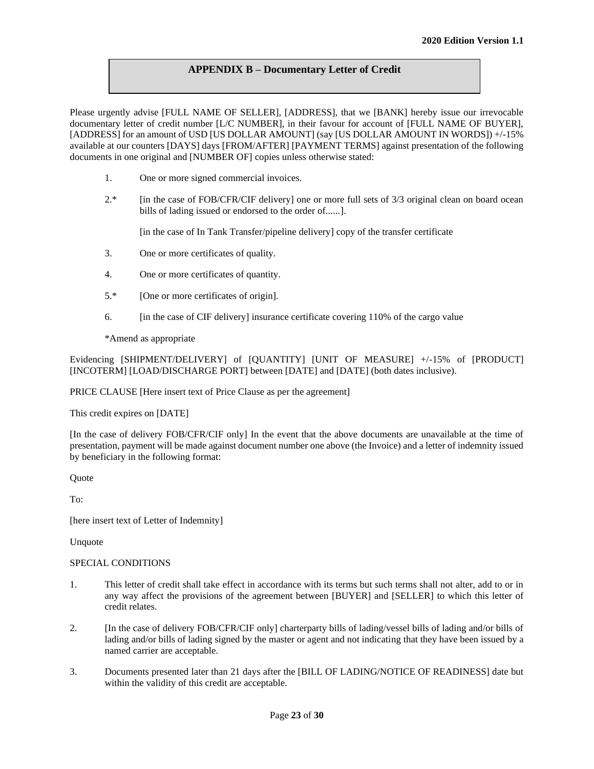## **APPENDIX B – Documentary Letter of Credit**

Please urgently advise [FULL NAME OF SELLER], [ADDRESS], that we [BANK] hereby issue our irrevocable documentary letter of credit number [L/C NUMBER], in their favour for account of [FULL NAME OF BUYER], [ADDRESS] for an amount of USD [US DOLLAR AMOUNT] (say [US DOLLAR AMOUNT IN WORDS]) +/-15% available at our counters [DAYS] days [FROM/AFTER] [PAYMENT TERMS] against presentation of the following documents in one original and [NUMBER OF] copies unless otherwise stated:

- 1. One or more signed commercial invoices.
- 2.\* [in the case of FOB/CFR/CIF delivery] one or more full sets of 3/3 original clean on board ocean bills of lading issued or endorsed to the order of......].

[in the case of In Tank Transfer/pipeline delivery] copy of the transfer certificate

- 3. One or more certificates of quality.
- 4. One or more certificates of quantity.
- 5.\* [One or more certificates of origin].
- 6. [in the case of CIF delivery] insurance certificate covering 110% of the cargo value

\*Amend as appropriate

Evidencing [SHIPMENT/DELIVERY] of [QUANTITY] [UNIT OF MEASURE] +/-15% of [PRODUCT] [INCOTERM] [LOAD/DISCHARGE PORT] between [DATE] and [DATE] (both dates inclusive).

PRICE CLAUSE [Here insert text of Price Clause as per the agreement]

This credit expires on [DATE]

[In the case of delivery FOB/CFR/CIF only] In the event that the above documents are unavailable at the time of presentation, payment will be made against document number one above (the Invoice) and a letter of indemnity issued by beneficiary in the following format:

**Quote** 

To:

[here insert text of Letter of Indemnity]

Unquote

#### SPECIAL CONDITIONS

- 1. This letter of credit shall take effect in accordance with its terms but such terms shall not alter, add to or in any way affect the provisions of the agreement between [BUYER] and [SELLER] to which this letter of credit relates.
- 2. [In the case of delivery FOB/CFR/CIF only] charterparty bills of lading/vessel bills of lading and/or bills of lading and/or bills of lading signed by the master or agent and not indicating that they have been issued by a named carrier are acceptable.
- 3. Documents presented later than 21 days after the [BILL OF LADING/NOTICE OF READINESS] date but within the validity of this credit are acceptable.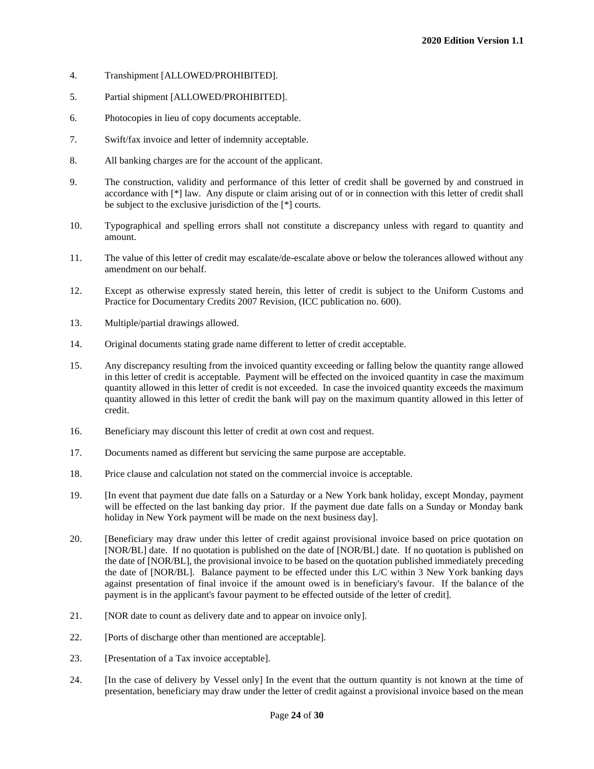- 4. Transhipment [ALLOWED/PROHIBITED].
- 5. Partial shipment [ALLOWED/PROHIBITED].
- 6. Photocopies in lieu of copy documents acceptable.
- 7. Swift/fax invoice and letter of indemnity acceptable.
- 8. All banking charges are for the account of the applicant.
- 9. The construction, validity and performance of this letter of credit shall be governed by and construed in accordance with [\*] law. Any dispute or claim arising out of or in connection with this letter of credit shall be subject to the exclusive jurisdiction of the [\*] courts.
- 10. Typographical and spelling errors shall not constitute a discrepancy unless with regard to quantity and amount.
- 11. The value of this letter of credit may escalate/de-escalate above or below the tolerances allowed without any amendment on our behalf.
- 12. Except as otherwise expressly stated herein, this letter of credit is subject to the Uniform Customs and Practice for Documentary Credits 2007 Revision, (ICC publication no. 600).
- 13. Multiple/partial drawings allowed.
- 14. Original documents stating grade name different to letter of credit acceptable.
- 15. Any discrepancy resulting from the invoiced quantity exceeding or falling below the quantity range allowed in this letter of credit is acceptable. Payment will be effected on the invoiced quantity in case the maximum quantity allowed in this letter of credit is not exceeded. In case the invoiced quantity exceeds the maximum quantity allowed in this letter of credit the bank will pay on the maximum quantity allowed in this letter of credit.
- 16. Beneficiary may discount this letter of credit at own cost and request.
- 17. Documents named as different but servicing the same purpose are acceptable.
- 18. Price clause and calculation not stated on the commercial invoice is acceptable.
- 19. [In event that payment due date falls on a Saturday or a New York bank holiday, except Monday, payment will be effected on the last banking day prior. If the payment due date falls on a Sunday or Monday bank holiday in New York payment will be made on the next business day].
- 20. [Beneficiary may draw under this letter of credit against provisional invoice based on price quotation on [NOR/BL] date. If no quotation is published on the date of [NOR/BL] date. If no quotation is published on the date of [NOR/BL], the provisional invoice to be based on the quotation published immediately preceding the date of [NOR/BL]. Balance payment to be effected under this L/C within 3 New York banking days against presentation of final invoice if the amount owed is in beneficiary's favour. If the balance of the payment is in the applicant's favour payment to be effected outside of the letter of credit].
- 21. [NOR date to count as delivery date and to appear on invoice only].
- 22. [Ports of discharge other than mentioned are acceptable].
- 23. [Presentation of a Tax invoice acceptable].
- 24. [In the case of delivery by Vessel only] In the event that the outturn quantity is not known at the time of presentation, beneficiary may draw under the letter of credit against a provisional invoice based on the mean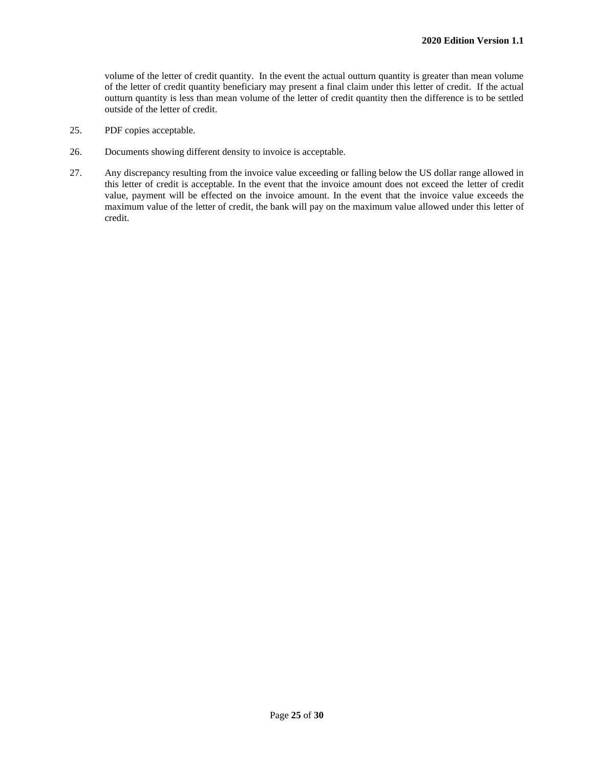volume of the letter of credit quantity. In the event the actual outturn quantity is greater than mean volume of the letter of credit quantity beneficiary may present a final claim under this letter of credit. If the actual outturn quantity is less than mean volume of the letter of credit quantity then the difference is to be settled outside of the letter of credit.

- 25. PDF copies acceptable.
- 26. Documents showing different density to invoice is acceptable.
- 27. Any discrepancy resulting from the invoice value exceeding or falling below the US dollar range allowed in this letter of credit is acceptable. In the event that the invoice amount does not exceed the letter of credit value, payment will be effected on the invoice amount. In the event that the invoice value exceeds the maximum value of the letter of credit, the bank will pay on the maximum value allowed under this letter of credit.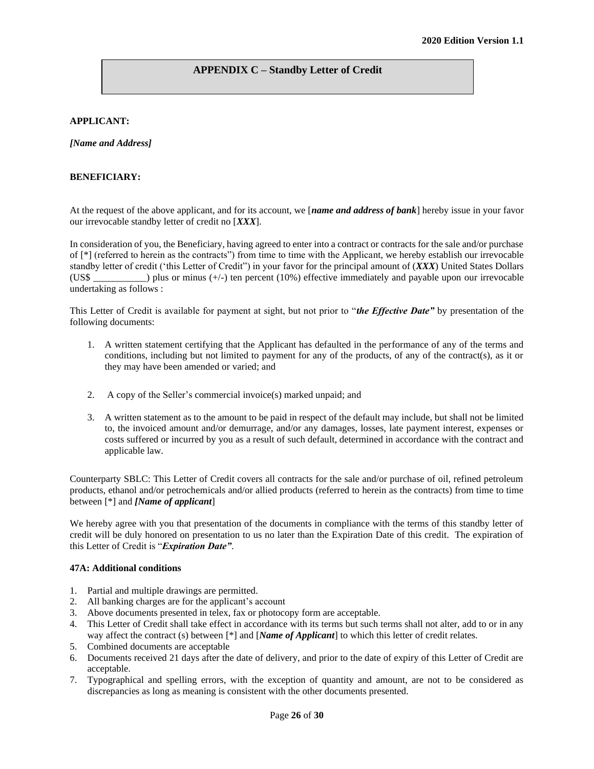## **APPENDIX C – Standby Letter of Credit**

#### **APPLICANT:**

*[Name and Address]*

#### **BENEFICIARY:**

At the request of the above applicant, and for its account, we [*name and address of bank*] hereby issue in your favor our irrevocable standby letter of credit no [*XXX*].

In consideration of you, the Beneficiary, having agreed to enter into a contract or contracts for the sale and/or purchase of [\*] (referred to herein as the contracts") from time to time with the Applicant, we hereby establish our irrevocable standby letter of credit ('this Letter of Credit") in your favor for the principal amount of (*XXX*) United States Dollars (US\$ \_\_\_\_\_\_\_\_\_\_\_) plus or minus (+/-) ten percent (10%) effective immediately and payable upon our irrevocable undertaking as follows :

This Letter of Credit is available for payment at sight, but not prior to "*the Effective Date"* by presentation of the following documents:

- 1. A written statement certifying that the Applicant has defaulted in the performance of any of the terms and conditions, including but not limited to payment for any of the products, of any of the contract(s), as it or they may have been amended or varied; and
- 2. A copy of the Seller's commercial invoice(s) marked unpaid; and
- 3. A written statement as to the amount to be paid in respect of the default may include, but shall not be limited to, the invoiced amount and/or demurrage, and/or any damages, losses, late payment interest, expenses or costs suffered or incurred by you as a result of such default, determined in accordance with the contract and applicable law.

Counterparty SBLC: This Letter of Credit covers all contracts for the sale and/or purchase of oil, refined petroleum products, ethanol and/or petrochemicals and/or allied products (referred to herein as the contracts) from time to time between [\*] and *[Name of applicant*]

We hereby agree with you that presentation of the documents in compliance with the terms of this standby letter of credit will be duly honored on presentation to us no later than the Expiration Date of this credit. The expiration of this Letter of Credit is "*Expiration Date"*.

#### **47A: Additional conditions**

- 1. Partial and multiple drawings are permitted.
- 2. All banking charges are for the applicant's account
- 3. Above documents presented in telex, fax or photocopy form are acceptable.
- 4. This Letter of Credit shall take effect in accordance with its terms but such terms shall not alter, add to or in any way affect the contract (s) between [\*] and [*Name of Applicant*] to which this letter of credit relates.
- 5. Combined documents are acceptable
- 6. Documents received 21 days after the date of delivery, and prior to the date of expiry of this Letter of Credit are acceptable.
- 7. Typographical and spelling errors, with the exception of quantity and amount, are not to be considered as discrepancies as long as meaning is consistent with the other documents presented.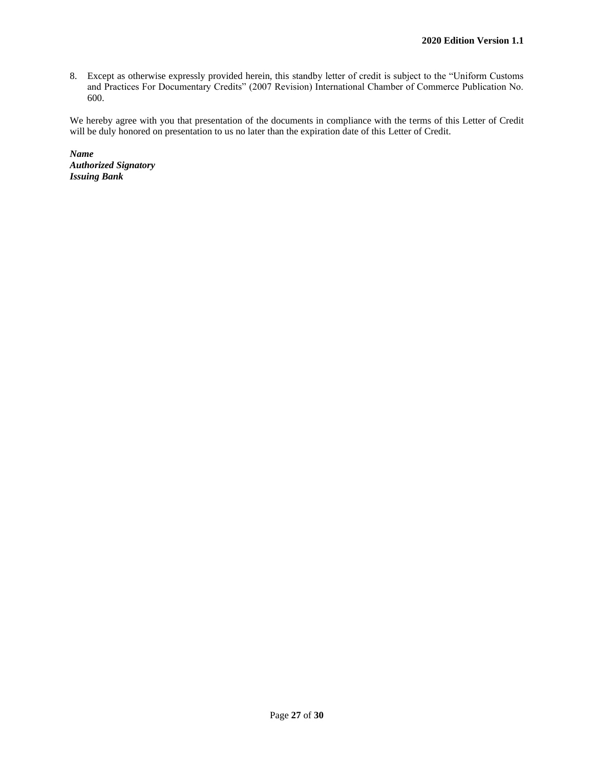8. Except as otherwise expressly provided herein, this standby letter of credit is subject to the "Uniform Customs and Practices For Documentary Credits" (2007 Revision) International Chamber of Commerce Publication No. 600.

We hereby agree with you that presentation of the documents in compliance with the terms of this Letter of Credit will be duly honored on presentation to us no later than the expiration date of this Letter of Credit.

*Name Authorized Signatory Issuing Bank*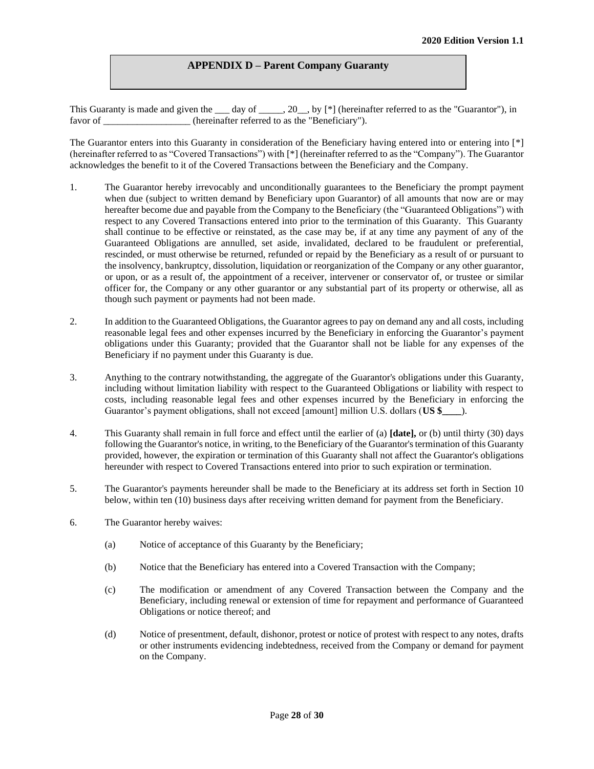#### **APPENDIX D – Parent Company Guaranty**

This Guaranty is made and given the  $\_\_\_day$  of  $\_\_\_$ , 20, by [\*] (hereinafter referred to as the "Guarantor"), in favor of (hereinafter referred to as the "Beneficiary").

The Guarantor enters into this Guaranty in consideration of the Beneficiary having entered into or entering into [\*] (hereinafter referred to as "Covered Transactions") with [\*] (hereinafter referred to as the "Company"). The Guarantor acknowledges the benefit to it of the Covered Transactions between the Beneficiary and the Company.

- 1. The Guarantor hereby irrevocably and unconditionally guarantees to the Beneficiary the prompt payment when due (subject to written demand by Beneficiary upon Guarantor) of all amounts that now are or may hereafter become due and payable from the Company to the Beneficiary (the "Guaranteed Obligations") with respect to any Covered Transactions entered into prior to the termination of this Guaranty. This Guaranty shall continue to be effective or reinstated, as the case may be, if at any time any payment of any of the Guaranteed Obligations are annulled, set aside, invalidated, declared to be fraudulent or preferential, rescinded, or must otherwise be returned, refunded or repaid by the Beneficiary as a result of or pursuant to the insolvency, bankruptcy, dissolution, liquidation or reorganization of the Company or any other guarantor, or upon, or as a result of, the appointment of a receiver, intervener or conservator of, or trustee or similar officer for, the Company or any other guarantor or any substantial part of its property or otherwise, all as though such payment or payments had not been made.
- 2. In addition to the Guaranteed Obligations, the Guarantor agrees to pay on demand any and all costs, including reasonable legal fees and other expenses incurred by the Beneficiary in enforcing the Guarantor's payment obligations under this Guaranty; provided that the Guarantor shall not be liable for any expenses of the Beneficiary if no payment under this Guaranty is due.
- 3. Anything to the contrary notwithstanding, the aggregate of the Guarantor's obligations under this Guaranty, including without limitation liability with respect to the Guaranteed Obligations or liability with respect to costs, including reasonable legal fees and other expenses incurred by the Beneficiary in enforcing the Guarantor's payment obligations, shall not exceed [amount] million U.S. dollars (**US \$\_\_\_\_**).
- 4. This Guaranty shall remain in full force and effect until the earlier of (a) **[date],** or (b) until thirty (30) days following the Guarantor's notice, in writing, to the Beneficiary of the Guarantor's termination of this Guaranty provided, however, the expiration or termination of this Guaranty shall not affect the Guarantor's obligations hereunder with respect to Covered Transactions entered into prior to such expiration or termination.
- 5. The Guarantor's payments hereunder shall be made to the Beneficiary at its address set forth in Section 10 below, within ten (10) business days after receiving written demand for payment from the Beneficiary.
- 6. The Guarantor hereby waives:
	- (a) Notice of acceptance of this Guaranty by the Beneficiary;
	- (b) Notice that the Beneficiary has entered into a Covered Transaction with the Company;
	- (c) The modification or amendment of any Covered Transaction between the Company and the Beneficiary, including renewal or extension of time for repayment and performance of Guaranteed Obligations or notice thereof; and
	- (d) Notice of presentment, default, dishonor, protest or notice of protest with respect to any notes, drafts or other instruments evidencing indebtedness, received from the Company or demand for payment on the Company.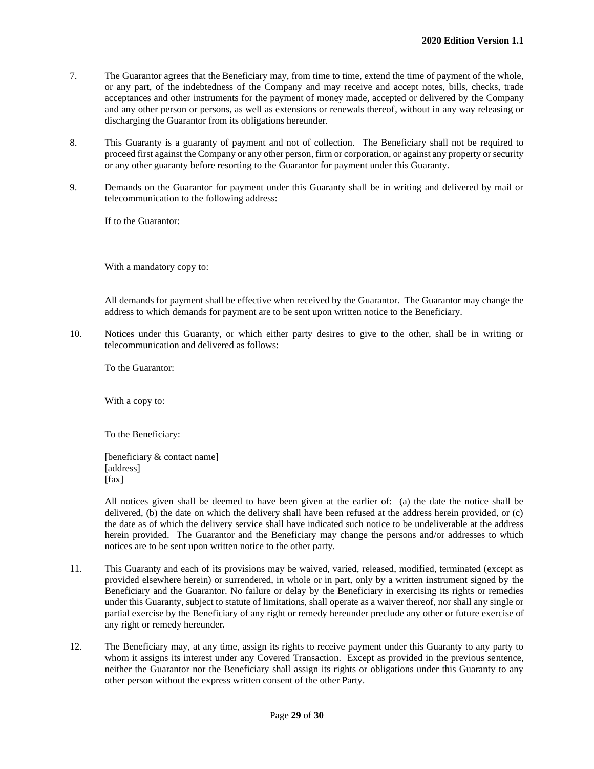- 7. The Guarantor agrees that the Beneficiary may, from time to time, extend the time of payment of the whole, or any part, of the indebtedness of the Company and may receive and accept notes, bills, checks, trade acceptances and other instruments for the payment of money made, accepted or delivered by the Company and any other person or persons, as well as extensions or renewals thereof, without in any way releasing or discharging the Guarantor from its obligations hereunder.
- 8. This Guaranty is a guaranty of payment and not of collection. The Beneficiary shall not be required to proceed first against the Company or any other person, firm or corporation, or against any property or security or any other guaranty before resorting to the Guarantor for payment under this Guaranty.
- 9. Demands on the Guarantor for payment under this Guaranty shall be in writing and delivered by mail or telecommunication to the following address:

If to the Guarantor:

With a mandatory copy to:

All demands for payment shall be effective when received by the Guarantor. The Guarantor may change the address to which demands for payment are to be sent upon written notice to the Beneficiary.

10. Notices under this Guaranty, or which either party desires to give to the other, shall be in writing or telecommunication and delivered as follows:

To the Guarantor:

With a copy to:

To the Beneficiary:

[beneficiary & contact name] [address]  $[$ fax $]$ 

All notices given shall be deemed to have been given at the earlier of: (a) the date the notice shall be delivered, (b) the date on which the delivery shall have been refused at the address herein provided, or (c) the date as of which the delivery service shall have indicated such notice to be undeliverable at the address herein provided. The Guarantor and the Beneficiary may change the persons and/or addresses to which notices are to be sent upon written notice to the other party.

- 11. This Guaranty and each of its provisions may be waived, varied, released, modified, terminated (except as provided elsewhere herein) or surrendered, in whole or in part, only by a written instrument signed by the Beneficiary and the Guarantor. No failure or delay by the Beneficiary in exercising its rights or remedies under this Guaranty, subject to statute of limitations, shall operate as a waiver thereof, nor shall any single or partial exercise by the Beneficiary of any right or remedy hereunder preclude any other or future exercise of any right or remedy hereunder.
- 12. The Beneficiary may, at any time, assign its rights to receive payment under this Guaranty to any party to whom it assigns its interest under any Covered Transaction. Except as provided in the previous sentence, neither the Guarantor nor the Beneficiary shall assign its rights or obligations under this Guaranty to any other person without the express written consent of the other Party.